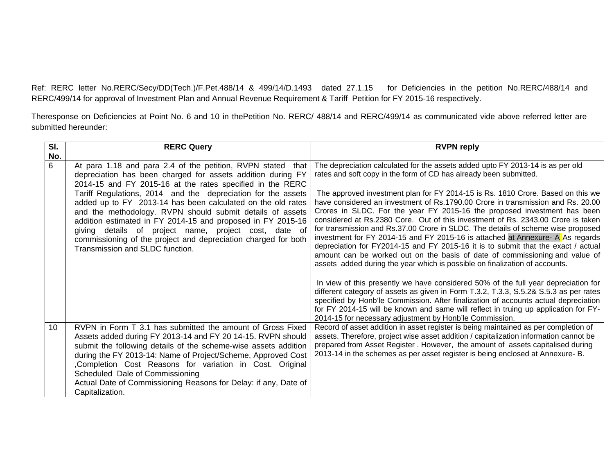Ref: RERC letter No.RERC/Secy/DD(Tech.)/F.Pet.488/14 & 499/14/D.1493 dated 27.1.15 for Deficiencies in the petition No.RERC/488/14 and RERC/499/14 for approval of Investment Plan and Annual Revenue Requirement & Tariff Petition for FY 2015-16 respectively.

Theresponse on Deficiencies at Point No. 6 and 10 in thePetition No. RERC/ 488/14 and RERC/499/14 as communicated vide above referred letter are submitted hereunder:

| SI. | <b>RERC Query</b>                                                                                                                                                                                                                                                                                                                                                                                                                                                                                                                                                                                                | <b>RVPN reply</b>                                                                                                                                                                                                                                                                                                                                                                                                                                                                                                                                                                                                                                                                                                                                                                                                                                                                                                                                                                                        |
|-----|------------------------------------------------------------------------------------------------------------------------------------------------------------------------------------------------------------------------------------------------------------------------------------------------------------------------------------------------------------------------------------------------------------------------------------------------------------------------------------------------------------------------------------------------------------------------------------------------------------------|----------------------------------------------------------------------------------------------------------------------------------------------------------------------------------------------------------------------------------------------------------------------------------------------------------------------------------------------------------------------------------------------------------------------------------------------------------------------------------------------------------------------------------------------------------------------------------------------------------------------------------------------------------------------------------------------------------------------------------------------------------------------------------------------------------------------------------------------------------------------------------------------------------------------------------------------------------------------------------------------------------|
| No. |                                                                                                                                                                                                                                                                                                                                                                                                                                                                                                                                                                                                                  |                                                                                                                                                                                                                                                                                                                                                                                                                                                                                                                                                                                                                                                                                                                                                                                                                                                                                                                                                                                                          |
| 6   | At para 1.18 and para 2.4 of the petition, RVPN stated that<br>depreciation has been charged for assets addition during FY<br>2014-15 and FY 2015-16 at the rates specified in the RERC<br>Tariff Regulations, 2014 and the depreciation for the assets<br>added up to FY 2013-14 has been calculated on the old rates<br>and the methodology. RVPN should submit details of assets<br>addition estimated in FY 2014-15 and proposed in FY 2015-16<br>giving details of project name, project cost, date of<br>commissioning of the project and depreciation charged for both<br>Transmission and SLDC function. | The depreciation calculated for the assets added upto FY 2013-14 is as per old<br>rates and soft copy in the form of CD has already been submitted.<br>The approved investment plan for FY 2014-15 is Rs. 1810 Crore. Based on this we<br>have considered an investment of Rs.1790.00 Crore in transmission and Rs. 20.00<br>Crores in SLDC. For the year FY 2015-16 the proposed investment has been<br>considered at Rs.2380 Core. Out of this investment of Rs. 2343.00 Crore is taken<br>for transmission and Rs.37.00 Crore in SLDC. The details of scheme wise proposed<br>investment for FY 2014-15 and FY 2015-16 is attached at Annexure- A As regards<br>depreciation for FY2014-15 and FY 2015-16 it is to submit that the exact / actual<br>amount can be worked out on the basis of date of commissioning and value of<br>assets added during the year which is possible on finalization of accounts.<br>In view of this presently we have considered 50% of the full year depreciation for |
|     |                                                                                                                                                                                                                                                                                                                                                                                                                                                                                                                                                                                                                  | different category of assets as given in Form T.3.2, T.3.3, S.5.2& S.5.3 as per rates<br>specified by Honb'le Commission. After finalization of accounts actual depreciation<br>for FY 2014-15 will be known and same will reflect in truing up application for FY-<br>2014-15 for necessary adjustment by Honb'le Commission.                                                                                                                                                                                                                                                                                                                                                                                                                                                                                                                                                                                                                                                                           |
| 10  | RVPN in Form T 3.1 has submitted the amount of Gross Fixed<br>Assets added during FY 2013-14 and FY 20 14-15. RVPN should<br>submit the following details of the scheme-wise assets addition<br>during the FY 2013-14: Name of Project/Scheme, Approved Cost<br>,Completion Cost Reasons for variation in Cost. Original<br>Scheduled Dale of Commissioning<br>Actual Date of Commissioning Reasons for Delay: if any, Date of<br>Capitalization.                                                                                                                                                                | Record of asset addition in asset register is being maintained as per completion of<br>assets. Therefore, project wise asset addition / capitalization information cannot be<br>prepared from Asset Register . However, the amount of assets capitalised during<br>2013-14 in the schemes as per asset register is being enclosed at Annexure- B.                                                                                                                                                                                                                                                                                                                                                                                                                                                                                                                                                                                                                                                        |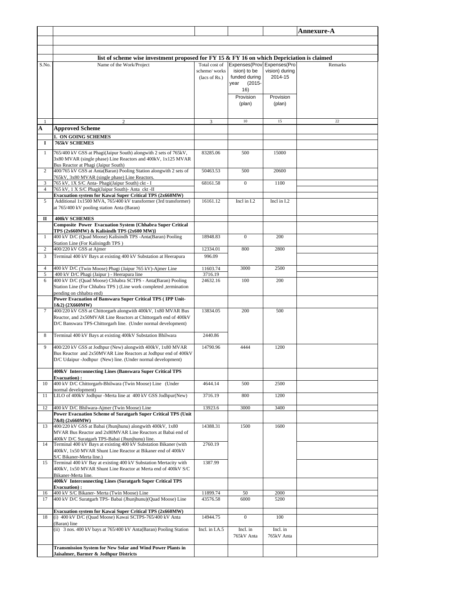|                     |                                                                                                                              |                      |                            |                | <b>Annexure-A</b> |
|---------------------|------------------------------------------------------------------------------------------------------------------------------|----------------------|----------------------------|----------------|-------------------|
|                     |                                                                                                                              |                      |                            |                |                   |
|                     |                                                                                                                              |                      |                            |                |                   |
|                     | list of scheme wise investment proposed for FY 15 $\&$ FY 16 on which Depriciation is claimed                                |                      |                            |                |                   |
| S.No.               | Name of the Work/Project                                                                                                     | Total cost of        | Expenses(Prov Expenses(Pro |                | Remarks           |
|                     |                                                                                                                              | scheme/works         | ision) to be               | vision) durina |                   |
|                     |                                                                                                                              | (lacs of Rs.)        | funded during              | 2014-15        |                   |
|                     |                                                                                                                              |                      | $(2015 -$<br>year<br>16)   |                |                   |
|                     |                                                                                                                              |                      | Provision                  | Provision      |                   |
|                     |                                                                                                                              |                      | (plan)                     | (plan)         |                   |
|                     |                                                                                                                              |                      |                            |                |                   |
| 1                   | $\overline{c}$                                                                                                               | 3                    | $10\,$                     | 15             | 22                |
| A                   | <b>Approved Scheme</b>                                                                                                       |                      |                            |                |                   |
|                     | 1. ON GOING SCHEMES                                                                                                          |                      |                            |                |                   |
| 1                   | 765kV SCHEMES                                                                                                                |                      |                            |                |                   |
| $\mathbf{1}$        | 765/400 kV GSS at Phagi(Jaipur South) alongwith 2 sets of 765kV,                                                             | 83285.06             | 500                        | 15000          |                   |
|                     | 3x80 MVAR (single phase) Line Reactors and 400kV, 1x125 MVAR                                                                 |                      |                            |                |                   |
|                     | Bus Reactor at Phagi (Jaipur South)                                                                                          |                      |                            |                |                   |
| 2                   | 400/765 kV GSS at Anta(Baran) Pooling Station alongwith 2 sets of<br>765kV, 3x80 MVAR (single phase) Line Reactors.          | 50463.53             | 500                        | 20600          |                   |
| 3                   | 765 kV, 1X S/C Anta- Phagi(Jaipur South) ckt - I                                                                             | 68161.58             | $\mathbf{0}$               | 1100           |                   |
| $\overline{4}$      | 765 kV, 1 X S/C Phagi(Jaipur South)- Anta ckt -II                                                                            |                      |                            |                |                   |
|                     | <b>Evacuation system for Kawai Super Critical TPS (2x660MW)</b>                                                              |                      |                            | Incl in I.2    |                   |
| 5                   | Additional 1x1500 MVA, 765/400 kV transformer (3rd transformer)<br>at 765/400 kV pooling station Anta (Baran)                | 16161.12             | Incl in I.2                |                |                   |
|                     |                                                                                                                              |                      |                            |                |                   |
| п                   | <b>400kV SCHEMES</b><br><b>Composite Power Evacuation System {Chhabra Super Critical</b>                                     |                      |                            |                |                   |
|                     | TPS (2x660MW) & Kalisindh TPS (2x600 MW)}                                                                                    |                      |                            |                |                   |
| $\mathbf{1}$        | 400 kV D/C (Quad Moose) Kalisindh TPS -Anta(Baran) Pooling                                                                   | 18948.83             | $\mathbf{0}$               | 200            |                   |
| 2                   | Station Line (For Kalisingdh TPS)<br>400/220 kV GSS at Ajmer                                                                 | 12334.01             | 800                        | 2800           |                   |
| 3                   | Terminal 400 kV Bays at existing 400 kV Substation at Heerapura                                                              | 996.09               |                            |                |                   |
|                     |                                                                                                                              |                      |                            |                |                   |
| $\overline{4}$<br>5 | 400 kV D/C (Twin Moose) Phagi (Jaipur 765 kV)-Ajmer Line<br>400 kV D/C Phagi (Jaipur) - Heerapura line                       | 11603.74<br>3716.19  | 3000                       | 2500           |                   |
| 6                   | 400 kV D/C (Quad Moose) Chhabra SCTPS - Anta(Baran) Pooling                                                                  | 24632.16             | 100                        | 200            |                   |
|                     | Station Line (For Chhabra TPS) (Line work completed ,termination                                                             |                      |                            |                |                   |
|                     | pending on chhabra end)                                                                                                      |                      |                            |                |                   |
|                     | Power Evacuation of Banswara Super Critical TPS (IPP Unit-<br>1&2) (2X660MW)                                                 |                      |                            |                |                   |
| $\tau$              | 400/220 kV GSS at Chittorgarh alongwith 400kV, 1x80 MVAR Bus                                                                 | 13834.05             | 200                        | 500            |                   |
|                     | Reactor, and 2x50MVAR Line Reactors at Chittorgarh end of 400kV                                                              |                      |                            |                |                   |
|                     | D/C Banswara TPS-Chittorgarh line. (Under normal development)                                                                |                      |                            |                |                   |
| 8                   | Terminal 400 kV Bays at existing 400kV Substation Bhilwara                                                                   | 2440.86              |                            |                |                   |
|                     |                                                                                                                              |                      |                            |                |                   |
| 9                   | 400/220 kV GSS at Jodhpur (New) alongwith 400kV, 1x80 MVAR<br>Bus Reactor and 2x50MVAR Line Reactors at Jodhpur end of 400kV | 14790.96             | 4444                       | 1200           |                   |
|                     | D/C Udaipur -Jodhpur (New) line. (Under normal development)                                                                  |                      |                            |                |                   |
|                     |                                                                                                                              |                      |                            |                |                   |
|                     | 400kV Interconnecting Lines (Banswara Super Critical TPS<br><b>Evacuation</b> ):                                             |                      |                            |                |                   |
| 10                  | 400 kV D/C Chittorgarh-Bhilwara (Twin Moose) Line (Under                                                                     | 4644.14              | 500                        | 2500           |                   |
|                     | normal development)                                                                                                          |                      |                            |                |                   |
| 11                  | LILO of 400kV Jodhpur -Merta line at 400 kV GSS Jodhpur(New)                                                                 | 3716.19              | 800                        | 1200           |                   |
| 12                  | 400 kV D/C Bhilwara-Ajmer (Twin Moose) Line                                                                                  | 13923.6              | 3000                       | 3400           |                   |
|                     | Power Evacuation Scheme of Suratgarh Super Critical TPS (Unit<br>7&8) (2x660MW)                                              |                      |                            |                |                   |
| 13                  | 400/220 kV GSS at Babai (Jhunjhunu) alongwith 400kV, 1x80                                                                    | 14388.31             | 1500                       | 1600           |                   |
|                     | MVAR Bus Reactor and 2x80MVAR Line Reactors at Babai end of                                                                  |                      |                            |                |                   |
| 14                  | 400kV D/C Suratgarh TPS-Babai (Jhunjhunu) line.<br>Terminal 400 kV Bays at existing 400 kV Substation Bikaner (with          | 2760.19              |                            |                |                   |
|                     | 400kV, 1x50 MVAR Shunt Line Reactor at Bikaner end of 400kV                                                                  |                      |                            |                |                   |
|                     | S/C Bikaner-Merta line.)                                                                                                     |                      |                            |                |                   |
| 15                  | Terminal 400 kV Bay at existing 400 kV Substation Mertacity with                                                             | 1387.99              |                            |                |                   |
|                     | 400kV, 1x50 MVAR Shunt Line Reactor at Merta end of 400kV S/C<br>Bikaner-Merta line.                                         |                      |                            |                |                   |
|                     | 400kV Interconnecting Lines (Suratgarh Super Critical TPS                                                                    |                      |                            |                |                   |
|                     | <b>Evacuation</b> ):                                                                                                         |                      |                            |                |                   |
| 16<br>17            | 400 kV S/C Bikaner- Merta (Twin Moose) Line<br>400 kV D/C Suratgarh TPS- Babai (Jhunjhunu)(Quad Moose) Line                  | 11899.74<br>43576.58 | 50<br>6000                 | 2000<br>5200   |                   |
|                     |                                                                                                                              |                      |                            |                |                   |
|                     | Evacuation system for Kawai Super Critical TPS (2x660MW)<br>(i) 400 kV D/C (Quad Moose) Kawai SCTPS-765/400 kV Anta          |                      | $\boldsymbol{0}$           |                |                   |
| 18                  | (Baran) line                                                                                                                 | 14944.75             |                            | 100            |                   |
|                     | (ii) 3 nos. 400 kV bays at 765/400 kV Anta(Baran) Pooling Station                                                            | Incl. in I.A.5       | Incl. in                   | Incl. in       |                   |
|                     |                                                                                                                              |                      | 765kV Anta                 | 765kV Anta     |                   |
|                     | Transmission System for New Solar and Wind Power Plants in                                                                   |                      |                            |                |                   |
|                     | Jaisalmer, Barmer & Jodhpur Districts                                                                                        |                      |                            |                |                   |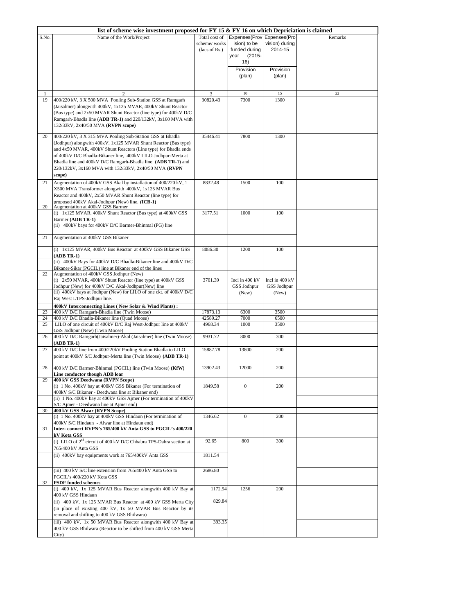|       | list of scheme wise investment proposed for FY 15 $\&$ FY 16 on which Depriciation is claimed                                                                                                                                                                                                                                                                                                       |                                                |                                                                                   |                               |         |
|-------|-----------------------------------------------------------------------------------------------------------------------------------------------------------------------------------------------------------------------------------------------------------------------------------------------------------------------------------------------------------------------------------------------------|------------------------------------------------|-----------------------------------------------------------------------------------|-------------------------------|---------|
| S.No. | Name of the Work/Project                                                                                                                                                                                                                                                                                                                                                                            | Total cost of<br>scheme/works<br>(lacs of Rs.) | Expenses(Prov Expenses(Pro)<br>ision) to be<br>funded during<br>year<br>$(2015 -$ | vision) during<br>2014-15     | Remarks |
|       |                                                                                                                                                                                                                                                                                                                                                                                                     |                                                | 16)                                                                               |                               |         |
|       |                                                                                                                                                                                                                                                                                                                                                                                                     |                                                | Provision<br>(plan)                                                               | Provision<br>(plan)           |         |
| 1     |                                                                                                                                                                                                                                                                                                                                                                                                     | 3                                              | $10\,$                                                                            | 15                            | 22      |
| 19    | 400/220 kV, 3 X 500 MVA Pooling Sub-Station GSS at Ramgarh                                                                                                                                                                                                                                                                                                                                          | 30820.43                                       | 7300                                                                              | 1300                          |         |
|       | (Jaisalmer) alongwith 400kV, 1x125 MVAR, 400kV Shunt Reactor<br>(Bus type) and 2x50 MVAR Shunt Reactor (line type) for 400kV D/C<br>Ramgarh-Bhadla line (ADB TR-1) and 220/132kV, 3x160 MVA with<br>132/33kV, 2x40/50 MVA (RVPN scope)                                                                                                                                                              |                                                |                                                                                   |                               |         |
| 20    | 400/220 kV, 3 X 315 MVA Pooling Sub-Station GSS at Bhadla<br>(Jodhpur) alongwith 400kV, 1x125 MVAR Shunt Reactor (Bus type)<br>and 4x50 MVAR, 400kV Shunt Reactors (Line type) for Bhadla ends<br>of 400kV D/C Bhadla-Bikaner line, 400kV LILO Jodhpur-Merta at<br>Bhadla line and 400kV D/C Ramgarh-Bhadla line. (ADB TR-1) and<br>220/132kV, 3x160 MVA with 132/33kV, 2x40/50 MVA (RVPN<br>scope) | 35446.41                                       | 7800                                                                              | 1300                          |         |
| 21    | Augmentation of 400kV GSS Akal by installation of 400/220 kV, 1<br>X500 MVA Transformer alongwith 400kV, 1x125 MVAR Bus<br>Reactor and 400kV, 2x50 MVAR Shunt Reactor (line type) for<br>proposed 400kV Akal-Jodhpur (New) line. (ICB-1)                                                                                                                                                            | 8832.48                                        | 1500                                                                              | 100                           |         |
| 20    | Augmentation at 400kV GSS Barmer                                                                                                                                                                                                                                                                                                                                                                    |                                                |                                                                                   |                               |         |
|       | (i) 1x125 MVAR, 400kV Shunt Reactor (Bus type) at 400kV GSS<br>Barmer (ADB TR-1)<br>(ii) 400kV bays for 400kV D/C Barmer-Bhinmal (PG) line                                                                                                                                                                                                                                                          | 3177.51                                        | 1000                                                                              | 100                           |         |
| 21    | Augmentation at 400kV GSS Bikaner                                                                                                                                                                                                                                                                                                                                                                   |                                                |                                                                                   |                               |         |
|       | (i) 1x125 MVAR, 400kV Bus Reactor at 400kV GSS Bikaner GSS<br>$(ADB TR-1)$<br>(ii) 400kV Bays for 400kV D/C Bhadla-Bikaner line and 400kV D/C<br>Bikaner-Sikar (PGCIL) line at Bikaner end of the lines                                                                                                                                                                                             | 8086.30                                        | 1200                                                                              | 100                           |         |
| 22    | Augmentation of 400kV GSS Jodhpur (New)                                                                                                                                                                                                                                                                                                                                                             |                                                |                                                                                   |                               |         |
|       | (i) 2x50 MVAR, 400kV Shunt Reactor (line type) at 400kV GSS<br>Jodhpur (New) for 400kV D/C Akal-Jodhpur(New) line<br>(ii) 400kV bays at Jodhpur (New) for LILO of one ckt. of 400kV D/C                                                                                                                                                                                                             | 3701.39                                        | Incl in 400 kV<br>GSS Jodhpur                                                     | Incl in 400 kV<br>GSS Jodhpur |         |
|       | Raj West LTPS-Jodhpur line.<br>400kV Interconnecting Lines (New Solar & Wind Plants):                                                                                                                                                                                                                                                                                                               |                                                | (New)                                                                             | (New)                         |         |
| 23    | 400 kV D/C Ramgarh-Bhadla line (Twin Moose)                                                                                                                                                                                                                                                                                                                                                         | 17873.13                                       | 6300                                                                              | 3500                          |         |
| 24    | 400 kV D/C Bhadla-Bikaner line (Quad Moose)                                                                                                                                                                                                                                                                                                                                                         | 42589.27                                       | 7000                                                                              | 6500                          |         |
| 25    | LILO of one circuit of 400kV D/C Raj West-Jodhpur line at 400kV<br>GSS Jodhpur (New) (Twin Moose)                                                                                                                                                                                                                                                                                                   | 4968.34                                        | 1000                                                                              | 3500                          |         |
| 26    | 400 kV D/C Ramgarh(Jaisalmer)-Akal (Jaisalmer) line (Twin Moose)<br>$(ADB TR-1)$                                                                                                                                                                                                                                                                                                                    | 9931.72                                        | 8000                                                                              | 300                           |         |
| 27    | 400 kV D/C line from 400/220kV Pooling Station Bhadla to LILO<br>point at 400kV S/C Jodhpur-Merta line (Twin Moose) (ADB TR-1)                                                                                                                                                                                                                                                                      | 15887.78                                       | 13800                                                                             | 200                           |         |
| 28    | 400 kV D/C Barmer-Bhinmal (PGCIL) line (Twin Moose) (KfW)<br>Line conductor though ADB loan                                                                                                                                                                                                                                                                                                         | 13902.43                                       | 12000                                                                             | 200                           |         |
| 29    | 400 kV GSS Deedwana (RVPN Scope)<br>(i) 1 No. 400kV bay at 400kV GSS Bikaner (For termination of                                                                                                                                                                                                                                                                                                    | 1849.58                                        | $\mathbf{0}$                                                                      | 200                           |         |
|       | 400kV S/C Bikaner - Deedwana line at Bikaner end)<br>(ii) 1 No. 400kV bay at 400kV GSS Ajmer (For termination of 400kV                                                                                                                                                                                                                                                                              |                                                |                                                                                   |                               |         |
| 30    | S/C Ajmer - Deedwana line at Ajmer end)<br>400 kV GSS Alwar (RVPN Scope)                                                                                                                                                                                                                                                                                                                            |                                                |                                                                                   |                               |         |
|       | (i) 1 No. 400kV bay at 400kV GSS Hindaun (For termination of<br>400kV S/C Hindaun - Alwar line at Hindaun end)                                                                                                                                                                                                                                                                                      | 1346.62                                        | 0                                                                                 | 200                           |         |
| 31    | Inter-connect RVPN's 765/400 kV Anta GSS to PGCIL's 400/220                                                                                                                                                                                                                                                                                                                                         |                                                |                                                                                   |                               |         |
|       | kV Kota GSS<br>(i) LILO of $2nd$ circuit of 400 kV D/C Chhabra TPS-Dahra section at<br>765/400 kV Anta GSS                                                                                                                                                                                                                                                                                          | 92.65                                          | 800                                                                               | 300                           |         |
|       | (ii) 400kV bay equipments work at 765/400kV Anta GSS                                                                                                                                                                                                                                                                                                                                                | 1811.54                                        |                                                                                   |                               |         |
|       | (iii) 400 kV S/C line extension from 765/400 kV Anta GSS to<br>PGCIL's 400/220 kV Kota GSS                                                                                                                                                                                                                                                                                                          | 2686.80                                        |                                                                                   |                               |         |
| 32    | <b>PSDF</b> funded schemes<br>(i) 400 kV, 1x 125 MVAR Bus Reactor alongwith 400 kV Bay at<br>400 kV GSS Hindaun                                                                                                                                                                                                                                                                                     | 1172.94                                        | 1256                                                                              | 200                           |         |
|       | (ii) 400 kV, 1x 125 MVAR Bus Reactor at 400 kV GSS Merta City<br>(in place of existing 400 kV, 1x 50 MVAR Bus Reactor by its<br>removal and shifting to 400 kV GSS Bhilwara)                                                                                                                                                                                                                        | 829.84                                         |                                                                                   |                               |         |
|       | (iii) 400 kV, 1x 50 MVAR Bus Reactor alongwith 400 kV Bay at<br>400 kV GSS Bhilwara (Reactor to be shifted from 400 kV GSS Merta<br>City)                                                                                                                                                                                                                                                           | 393.35                                         |                                                                                   |                               |         |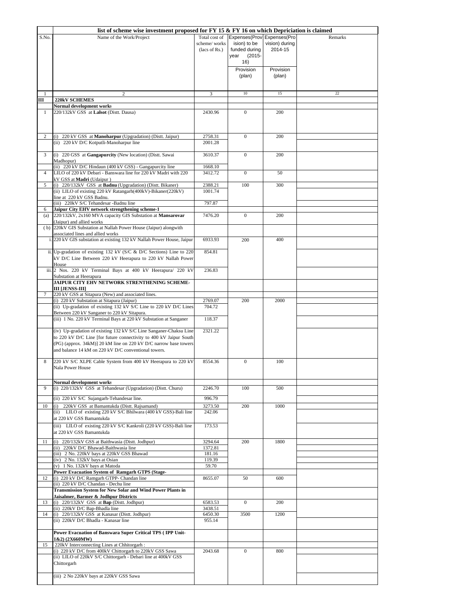|                | list of scheme wise investment proposed for FY 15 $\&$ FY 16 on which Depriciation is claimed                                                                                                                                                                        |                                                |                                                                                         |                           |         |
|----------------|----------------------------------------------------------------------------------------------------------------------------------------------------------------------------------------------------------------------------------------------------------------------|------------------------------------------------|-----------------------------------------------------------------------------------------|---------------------------|---------|
| S.No.          | Name of the Work/Project                                                                                                                                                                                                                                             | Total cost of<br>scheme/works<br>(lacs of Rs.) | Expenses(Prov Expenses(Pro<br>ision) to be<br>funded during<br>year<br>$(2015 -$<br>16) | vision) during<br>2014-15 | Remarks |
|                |                                                                                                                                                                                                                                                                      |                                                | Provision<br>(plan)                                                                     | Provision<br>(plan)       |         |
|                | $\overline{c}$                                                                                                                                                                                                                                                       | 3                                              | 10                                                                                      | 15                        | 22      |
| Ш              | 220kV SCHEMES<br>Normal development works                                                                                                                                                                                                                            |                                                |                                                                                         |                           |         |
| $\mathbf{1}$   | 220/132kV GSS at Lalsot (Distt. Dausa)                                                                                                                                                                                                                               | 2430.96                                        | $\mathbf{0}$                                                                            | 200                       |         |
| 2              | (i) 220 kV GSS at Manoharpur (Upgradation) (Distt. Jaipur)<br>(ii) 220 kV D/C Kotputli-Manoharpur line                                                                                                                                                               | 2758.31<br>2001.28                             | $\mathbf{0}$                                                                            | 200                       |         |
| 3              | (i) 220 GSS at Gangapurcity (New location) (Distt. Sawai<br>Madhopur)                                                                                                                                                                                                | 3610.37                                        | $\mathbf{0}$                                                                            | 200                       |         |
|                | (ii) 220 kV D/C Hindaun (400 kV GSS) - Gangapurcity line                                                                                                                                                                                                             | 1668.10                                        |                                                                                         |                           |         |
| $\overline{4}$ | LILO of 220 kV Debari - Banswara line for 220 kV Madri with 220<br>kV GSS at Madri (Udaipur)                                                                                                                                                                         | 3412.72                                        | $\mathbf{0}$                                                                            | 50                        |         |
| 5              | (i) 220/132kV GSS at Badnu (Upgradation) (Distt. Bikaner)<br>(ii) LILO of existing 220 kV Ratangarh(400kV)-Bikaner(220kV)<br>line at 220 kV GSS Badnu.                                                                                                               | 2388.21<br>1001.74                             | 100                                                                                     | 300                       |         |
|                | (iii) 220kV S/C Tehandesar -Badnu line                                                                                                                                                                                                                               | 797.87                                         |                                                                                         |                           |         |
| 6<br>(a)       | Jaipur City EHV network strengthening scheme-1<br>220/132kV, 2x160 MVA capacity GIS Substation at Mansarovar<br>(Jaipur) and allied works                                                                                                                            | 7476.20                                        | $\boldsymbol{0}$                                                                        | 200                       |         |
|                | (b) 220kV GIS Substation at Nallah Power House (Jaipur) alongwith<br>associated lines and allied works                                                                                                                                                               |                                                |                                                                                         |                           |         |
|                | i. 220 kV GIS substation at existing 132 kV Nallah Power House, Jaipur                                                                                                                                                                                               | 6933.93                                        | 200                                                                                     | 400                       |         |
|                | ii. Up-gradation of existing 132 kV (S/C & D/C Sections) Line to 220<br>kV D/C Line Between 220 kV Heerapura to 220 kV Nallah Power<br>House                                                                                                                         | 854.81                                         |                                                                                         |                           |         |
|                | iii. 2 Nos. 220 kV Terminal Bays at 400 kV Heerapura/ 220 kV<br>Substation at Heerapura                                                                                                                                                                              | 236.83                                         |                                                                                         |                           |         |
| 7              | JAIPUR CITY EHV NETWORK STRENTHENING SCHEME-<br><b>III [JENSS-III]</b><br>220 kV GSS at Sitapura (New) and associated lines.                                                                                                                                         |                                                |                                                                                         |                           |         |
|                | (i) 220 kV Substation at Sitapura (Jaipur)                                                                                                                                                                                                                           | 2769.07                                        | 200                                                                                     | 2000                      |         |
|                | (ii) Up-gradation of existing 132 kV S/C Line to 220 kV D/C Lines<br>Between 220 kV Sanganer to 220 kV Sitapura.                                                                                                                                                     | 704.72                                         |                                                                                         |                           |         |
|                | (iii) 1 No. 220 kV Terminal Bays at 220 kV Substation at Sanganer                                                                                                                                                                                                    | 118.37                                         |                                                                                         |                           |         |
|                | (iv) Up-gradation of existing 132 kV S/C Line Sanganer-Chaksu Line<br>to 220 kV D/C Line [for future connectivity to 400 kV Jaipur South<br>(PG) (approx. 34kM)] 20 kM line on 220 kV D/C narrow base towers<br>and balance 14 kM on 220 kV D/C conventional towers. | 2321.22                                        |                                                                                         |                           |         |
| 8              | 220 kV S/C XLPE Cable System from 400 kV Heerapura to 220 kV<br>Nala Power House                                                                                                                                                                                     | 8554.36                                        | $\mathbf{0}$                                                                            | 100                       |         |
| 9              | Normal development works<br>(i) 220/132kV GSS at Tehandesar (Upgradation) (Distt. Churu)                                                                                                                                                                             | 2246.70                                        | 100                                                                                     | 500                       |         |
|                | (ii) 220 kV S/C Sujangarh-Tehandesar line.                                                                                                                                                                                                                           | 996.79                                         |                                                                                         |                           |         |
| 10             | 220kV GSS at Bamantukda (Distt. Rajsamand)<br>(i)<br>(ii) LILO of existing 220 kV S/C Bhilwara (400 kV GSS)-Bali line<br>at 220 kV GSS Bamantukda<br>(iii) LILO of existing 220 kV S/C Kankroli (220 kV GSS)-Bali line                                               | 3273.50<br>242.06<br>173.53                    | 200                                                                                     | 1000                      |         |
| 11             | at 220 kV GSS Bamantukda<br>(i) 220/132kV GSS at Baithwasia (Distt. Jodhpur)                                                                                                                                                                                         | 3294.64                                        | 200                                                                                     | 1800                      |         |
|                | (ii) 220kV D/C Bhawad-Baithwasia line<br>(iii) 2 No. 220kV bays at 220kV GSS Bhawad                                                                                                                                                                                  | 1372.81<br>181.16                              |                                                                                         |                           |         |
|                | (iv) 2 No. 132kV bays at Osian<br>(v) 1 No. 132kV bays at Matoda                                                                                                                                                                                                     | 119.39<br>59.70                                |                                                                                         |                           |         |
|                | Power Evacuation System of Ramgarh GTPS (Stage-                                                                                                                                                                                                                      |                                                |                                                                                         |                           |         |
| 12             | (i) 220 kV D/C Ramgarh GTPP- Chandan line<br>(ii) 220 kV D/C Chandan - Dechu line<br>Transmission System for New Solar and Wind Power Plants in                                                                                                                      | 8655.07                                        | 50                                                                                      | 600                       |         |
| 13             | Jaisalmer, Barmer & Jodhpur Districts<br>(i) 220/132kV GSS at Bap (Distt. Jodhpur)                                                                                                                                                                                   | 6583.53                                        | $\mathbf{0}$                                                                            | 200                       |         |
| 14             | (ii) 220kV D/C Bap-Bhadla line<br>(i) 220/132kV GSS at Kanasar (Distt. Jodhpur)                                                                                                                                                                                      | 3438.51<br>6450.30                             | 3500                                                                                    | 1200                      |         |
|                | (ii) 220kV D/C Bhadla - Kanasar line<br>Power Evacuation of Banswara Super Critical TPS (IPP Unit-                                                                                                                                                                   | 955.14                                         |                                                                                         |                           |         |
|                | 1&2) (2X660MW)                                                                                                                                                                                                                                                       |                                                |                                                                                         |                           |         |
| 15             | 220kV Interconnecting Lines at Chhitorgarh:                                                                                                                                                                                                                          |                                                |                                                                                         |                           |         |
|                | (i) 220 kV D/C from 400kV Chittorgarh to 220kV GSS Sawa<br>(ii) LILO of 220kV S/C Chittorgarh - Debari line at 400kV GSS<br>Chittorgarh                                                                                                                              | 2043.68                                        | $\boldsymbol{0}$                                                                        | 800                       |         |
|                | (iii) 2 No 220kV bays at 220kV GSS Sawa                                                                                                                                                                                                                              |                                                |                                                                                         |                           |         |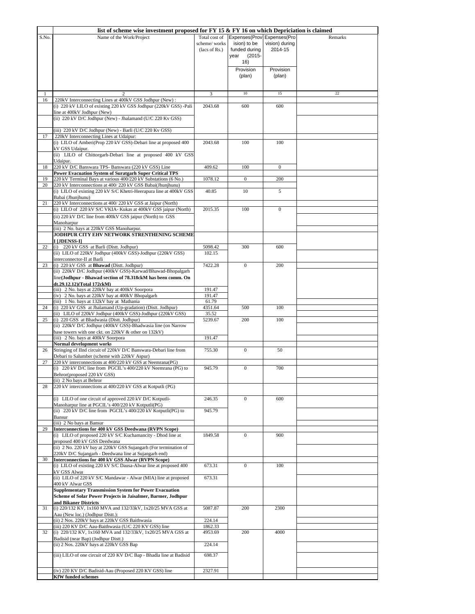|          | list of scheme wise investment proposed for FY 15 $\&$ FY 16 on which Depriciation is claimed                                |                                                |                                                                                         |                           |         |
|----------|------------------------------------------------------------------------------------------------------------------------------|------------------------------------------------|-----------------------------------------------------------------------------------------|---------------------------|---------|
| S.No.    | Name of the Work/Project                                                                                                     | Total cost of<br>scheme/works<br>(lacs of Rs.) | Expenses(Prov Expenses(Pro<br>ision) to be<br>funded during<br>$(2015 -$<br>year<br>16) | vision) during<br>2014-15 | Remarks |
|          |                                                                                                                              |                                                | Provision<br>(plan)                                                                     | Provision<br>(plan)       |         |
|          |                                                                                                                              | 3                                              | 10                                                                                      | 15                        | 22      |
| 16       | 220kV Interconnecting Lines at 400kV GSS Jodhpur (New):                                                                      |                                                |                                                                                         |                           |         |
|          | (i) 220 kV LILO of existing 220 kV GSS Jodhpur (220kV GSS) -Pali                                                             | 2043.68                                        | 600                                                                                     | 600                       |         |
|          | line at 400kV Jodhpur (New)<br>(ii) 220 kV D/C Jodhpur (New) - Jhalamand (U/C 220 Kv GSS)                                    |                                                |                                                                                         |                           |         |
|          | (iii) 220 kV D/C Jodhpur (New) - Barli (U/C 220 Kv GSS)                                                                      |                                                |                                                                                         |                           |         |
| 17       | 220kV Interconnecting Lines at Udaipur:<br>(i) LILO of Amberi(Prop 220 kV GSS)-Debari line at proposed 400                   | 2043.68                                        | 100                                                                                     | 100                       |         |
|          | kV GSS Udaipur.                                                                                                              |                                                |                                                                                         |                           |         |
|          | (ii) LILO of Chittorgarh-Debari line at proposed 400 kV GSS<br>Udaipur.                                                      |                                                |                                                                                         |                           |         |
| 18       | 220 kV D/C Banswara TPS- Banswara (220 kV GSS) Line                                                                          | 409.62                                         | 100                                                                                     | $\mathbf{0}$              |         |
|          | <b>Power Evacuation System of Suratgarh Super Critical TPS</b>                                                               |                                                |                                                                                         |                           |         |
| 19<br>20 | 220 kV Terminal Bays at various 400/220 kV Substations (6 No.)<br>220 kV Interconnections at 400/220 kV GSS Babai(Jhunjhunu) | 1078.12                                        | $\boldsymbol{0}$                                                                        | 200                       |         |
|          | (i) LILO of existing 220 kV S/C Khetri-Heerapura line at 400kV GSS<br>Babai (Jhunihunu)                                      | 40.85                                          | 10                                                                                      | 5                         |         |
| 21       | 220 kV Interconnections at 400/220 kV GSS at Jaipur (North)                                                                  |                                                |                                                                                         |                           |         |
|          | (i) LILO of 220 kV S/C VKIA- Kukas at 400kV GSS jaipur (North)<br>(ii) 220 kV D/C line from 400kV GSS jaipur (North) to GSS  | 2015.35                                        | 100                                                                                     | $\mathbf{0}$              |         |
|          | Manoharpur                                                                                                                   |                                                |                                                                                         |                           |         |
|          | (iii) 2 No. bays at 220kV GSS Manoharpur.<br>JODHPUR CITY EHV NETWORK STRENTHENING SCHEME                                    |                                                |                                                                                         |                           |         |
|          | I [JDENSS-I]                                                                                                                 |                                                |                                                                                         |                           |         |
| 22       | (i) 220 kV GSS at Barli (Distt. Jodhpur)                                                                                     | 5098.42                                        | 300                                                                                     | 600                       |         |
|          | (ii) LILO of 220kV Jodhpur (400kV GSS)-Jodhpur (220kV GSS)<br>interconnector-II at Barli                                     | 102.15                                         |                                                                                         |                           |         |
| 23       | (i) 220 kV GSS at Bhawad (Distt. Jodhpur)                                                                                    | 7422.28                                        | $\mathbf{0}$                                                                            | 200                       |         |
|          | (ii) 220kV D/C Jodhpur (400kV GSS)-Karwad/Bhawad-Bhopalgarh                                                                  |                                                |                                                                                         |                           |         |
|          | line(Jodhpur - Bhawad section of 78.318ckM has been comm. On<br>dt.29.12.12)(Total 172ckM)                                   |                                                |                                                                                         |                           |         |
|          | (iii) 2 No. bays at 220kV bay at 400kV Soorpora                                                                              | 191.47                                         |                                                                                         |                           |         |
|          | (iv) 2 No. bays at 220kV bay at 400kV Bhopalgarh                                                                             | 191.47                                         |                                                                                         |                           |         |
| 24       | (iii) 1 No. bays at 132kV bay at Mathania<br>(i) 220 kV GSS at Jhalamand (Up-gradation) (Distt. Jodhpur)                     | 61.79<br>4351.64                               | 500                                                                                     | 100                       |         |
|          | (ii) LILO of 220kV Jodhpur (400kV GSS)-Jodhpur (220kV GSS)                                                                   | 35.52                                          |                                                                                         |                           |         |
| 25       | (i) 220 GSS at Bhadwasia (Distt. Jodhpur)<br>(ii) 220kV D/C Jodhpur (400kV GSS)-Bhadwasia line (on Narrow                    | 5239.67                                        | 200                                                                                     | 100                       |         |
|          | base towers with one ckt. on 220kV & other on 132kV)                                                                         |                                                |                                                                                         |                           |         |
|          | (iii) 2 No. bays at 400kV Soorpora                                                                                           | 191.47                                         |                                                                                         |                           |         |
| 26       | Normal development works<br>Stringing of IInd circuit of 220kV D/C Banswara-Debari line from                                 | 755.30                                         | $\overline{0}$                                                                          | 50                        |         |
|          | Debari to Salumber (scheme with 220kV Aspur)                                                                                 |                                                |                                                                                         |                           |         |
| 27       | 220 kV interconnections at 400/220 kV GSS at Neemrana(PG)                                                                    |                                                |                                                                                         |                           |         |
|          | (i) 220 kV D/C line from PGCIL's 400/220 kV Neemrana (PG) to<br>Behror(proposed 220 kV GSS)                                  | 945.79                                         | $\boldsymbol{0}$                                                                        | 700                       |         |
|          | (ii) 2 No bays at Behror                                                                                                     |                                                |                                                                                         |                           |         |
| 28       | 220 kV interconnections at 400/220 kV GSS at Kotputli (PG)                                                                   |                                                |                                                                                         |                           |         |
|          | (i) LILO of one circuit of approved 220 kV D/C Kotputli-                                                                     | 246.35                                         | $\overline{0}$                                                                          | 600                       |         |
|          | Manoharpur line at PGCIL's 400/220 kV Kotputli(PG)<br>(ii) 220 kV D/C line from PGCIL's 400/220 kV Kotputli(PG) to           | 945.79                                         |                                                                                         |                           |         |
|          | Bansur                                                                                                                       |                                                |                                                                                         |                           |         |
| 29       | (iii) 2 No bays at Bansur<br>Interconnections for 400 kV GSS Deedwana (RVPN Scope)                                           |                                                |                                                                                         |                           |         |
|          | (i) LILO of proposed 220 kV S/C Kuchamancity - Dhod line at                                                                  | 1849.58                                        | $\mathbf{0}$                                                                            | 900                       |         |
|          | proposed 400 kV GSS Deedwana                                                                                                 |                                                |                                                                                         |                           |         |
|          | (ii) 2 No. 220 kV bay at 220kV GSS Sujangarh (For termination of<br>220kV D/C Sujangarh - Deedwana line at Sujangarh end)    |                                                |                                                                                         |                           |         |
| 30       | Interconnections for 400 kV GSS Alwar (RVPN Scope)                                                                           |                                                |                                                                                         |                           |         |
|          | (i) LILO of existing 220 kV S/C Dausa-Alwar line at proposed 400<br>kV GSS Alwar                                             | 673.31                                         | $\mathbf{0}$                                                                            | 100                       |         |
|          | (ii) LILO of 220 kV S/C Mandawar - Alwar (MIA) line at proposed                                                              | 673.31                                         |                                                                                         |                           |         |
|          | 400 kV Alwar GSS<br><b>Supplementary Transmission System for Power Evacuation</b>                                            |                                                |                                                                                         |                           |         |
|          | Scheme of Solar Power Projects in Jaisalmer, Barmer, Jodhpur<br>and Bikaner Districts                                        |                                                |                                                                                         |                           |         |
| 31       | (i) 220/132 KV, 1x160 MVA and 132/33kV, 1x20/25 MVA GSS at                                                                   | 5087.87                                        | 200                                                                                     | 2300                      |         |
|          | Aau (New loc.) (Jodhpur Distt.):<br>(ii) 2 Nos. 220kV bays at 220kV GSS Baithwasia                                           | 224.14                                         |                                                                                         |                           |         |
|          | (iii) 220 KV D/C Aau-Baithwasia (U/C 220 KV GSS) line                                                                        | 1862.33                                        |                                                                                         |                           |         |
| 32       | (i) 220/132 KV, 1x160 MVA and 132/33kV, 1x20/25 MVA GSS at                                                                   | 4953.69                                        | 200                                                                                     | 4000                      |         |
|          | Badisid (near Bap) (Jodhpur Distt.)<br>(ii) 2 Nos. 220kV bays at 220kV GSS Bap                                               | 224.14                                         |                                                                                         |                           |         |
|          | (iii) LILO of one circuit of 220 KV D/C Bap - Bhadla line at Badisid                                                         | 698.37                                         |                                                                                         |                           |         |
|          |                                                                                                                              |                                                |                                                                                         |                           |         |
|          | (iv) 220 KV D/C Badisid-Aau (Proposed 220 KV GSS) line                                                                       | 2327.91                                        |                                                                                         |                           |         |
|          | <b>KfW</b> funded schemes                                                                                                    |                                                |                                                                                         |                           |         |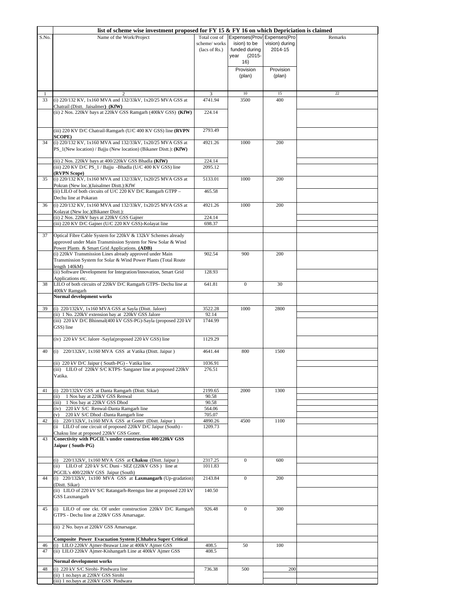|       | list of scheme wise investment proposed for FY 15 $\&$ FY 16 on which Depriciation is claimed                                                                                                                                                                                                               |                                                |                                                                                                      |                                        |         |
|-------|-------------------------------------------------------------------------------------------------------------------------------------------------------------------------------------------------------------------------------------------------------------------------------------------------------------|------------------------------------------------|------------------------------------------------------------------------------------------------------|----------------------------------------|---------|
| S.No. | Name of the Work/Project                                                                                                                                                                                                                                                                                    | Total cost of<br>scheme/works<br>(lacs of Rs.) | Expenses(Prov Expenses(Pro<br>ision) to be<br>funded during<br>year<br>$(2015 -$<br>16)<br>Provision | vision) during<br>2014-15<br>Provision | Remarks |
|       |                                                                                                                                                                                                                                                                                                             |                                                | (plan)                                                                                               | (plan)                                 |         |
| 1     |                                                                                                                                                                                                                                                                                                             |                                                | $10$                                                                                                 | 15                                     | 22      |
| 33    | (i) 220/132 KV, 1x160 MVA and 132/33kV, 1x20/25 MVA GSS at<br>Chatrail (Distt. Jaisalmer) (KfW)                                                                                                                                                                                                             | 4741.94                                        | 3500                                                                                                 | 400                                    |         |
|       | (ii) 2 Nos. 220kV bays at 220kV GSS Ramgarh (400kV GSS) (KfW)                                                                                                                                                                                                                                               | 224.14                                         |                                                                                                      |                                        |         |
|       | (iii) 220 KV D/C Chatrail-Ramgarh (U/C 400 KV GSS) line (RVPN                                                                                                                                                                                                                                               | 2793.49                                        |                                                                                                      |                                        |         |
| 34    | SCOPE)<br>(i) 220/132 KV, 1x160 MVA and 132/33kV, 1x20/25 MVA GSS at<br>PS_1(New location) / Bajju (New location) (Bikaner Distt.): (KfW)                                                                                                                                                                   | 4921.26                                        | 1000                                                                                                 | 200                                    |         |
|       | (ii) 2 Nos. 220kV bays at 400/220kV GSS Bhadla (KfW)                                                                                                                                                                                                                                                        | 224.14                                         |                                                                                                      |                                        |         |
|       | (iii) 220 KV D/C PS_1 / Bajju -Bhadla (U/C 400 KV GSS) line                                                                                                                                                                                                                                                 | 2095.12                                        |                                                                                                      |                                        |         |
| 35    | (RVPN Scope)<br>(i) 220/132 KV, 1x160 MVA and 132/33kV, 1x20/25 MVA GSS at                                                                                                                                                                                                                                  | 5133.01                                        | 1000                                                                                                 | 200                                    |         |
|       | Pokran (New loc.)(Jaisalmer Distt.):KfW<br>(ii) LILO of both circuits of U/C 220 KV D/C Ramgarh GTPP -<br>Dechu line at Pokaran                                                                                                                                                                             | 465.58                                         |                                                                                                      |                                        |         |
| 36    | (i) 220/132 KV, 1x160 MVA and 132/33kV, 1x20/25 MVA GSS at                                                                                                                                                                                                                                                  | 4921.26                                        | 1000                                                                                                 | 200                                    |         |
|       | Kolayat (New loc.)(Bikaner Distt.):                                                                                                                                                                                                                                                                         |                                                |                                                                                                      |                                        |         |
|       | (ii) 2 Nos. 220kV bays at 220kV GSS Gajner<br>(iii) 220 KV D/C Gajner (U/C 220 KV GSS)-Kolayat line                                                                                                                                                                                                         | 224.14<br>698.37                               |                                                                                                      |                                        |         |
| 37    | Optical Fibre Cable System for 220kV & 132kV Schemes already<br>approved under Main Transmission System for New Solar & Wind<br>Power Plants & Smart Grid Applications. (ADB)<br>(i) 220kV Transmission Lines already approved under Main<br>Transmission System for Solar & Wind Power Plants (Total Route | 902.54                                         | 900                                                                                                  | 200                                    |         |
|       | length $140kM$ )                                                                                                                                                                                                                                                                                            |                                                |                                                                                                      |                                        |         |
|       | (ii) Software Development for Integration/Innovation, Smart Grid<br>Applications etc.                                                                                                                                                                                                                       | 128.93                                         |                                                                                                      |                                        |         |
| 38    | LILO of both circuits of 220kV D/C Ramgarh GTPS- Dechu line at                                                                                                                                                                                                                                              | 641.81                                         | $\mathbf{0}$                                                                                         | 30                                     |         |
|       | 400kV Ramgarh<br><b>Normal development works</b>                                                                                                                                                                                                                                                            |                                                |                                                                                                      |                                        |         |
|       |                                                                                                                                                                                                                                                                                                             |                                                |                                                                                                      |                                        |         |
| 39    | (i) 220/132kV, 1x160 MVA GSS at Sayla (Distt. Jalore)<br>(ii) 1 No. 220kV extension bay at 220kV GSS Jalore                                                                                                                                                                                                 | 3522.28<br>92.14                               | 1000                                                                                                 | 2800                                   |         |
|       | (iii) 220 kV D/C Bhinmal(400 kV GSS-PG)-Sayla (proposed 220 kV<br>GSS) line                                                                                                                                                                                                                                 | 1744.99                                        |                                                                                                      |                                        |         |
|       | (iv) 220 kV S/C Jalore -Sayla(proposed 220 kV GSS) line                                                                                                                                                                                                                                                     | 1129.29                                        |                                                                                                      |                                        |         |
| 40    | (i) 220/132kV, 1x160 MVA GSS at Vatika (Distt. Jaipur)                                                                                                                                                                                                                                                      | 4641.44                                        | 800                                                                                                  | 1500                                   |         |
|       | (ii) 220 kV D/C Jaipur (South-PG) - Vatika line.                                                                                                                                                                                                                                                            | 1036.91                                        |                                                                                                      |                                        |         |
|       | (iii) LILO of 220kV S/C KTPS- Sanganer line at proposed 220kV<br>Vatika.                                                                                                                                                                                                                                    | 276.51                                         |                                                                                                      |                                        |         |
| 41    | (i) 220/132kV GSS at Danta Ramgarh (Distt. Sikar)                                                                                                                                                                                                                                                           | 2199.65                                        | 2000                                                                                                 | 1300                                   |         |
|       | 1 Nos bay at 220kV GSS Renwal<br>(ii)<br>(iii) 1 Nos bay at 220kV GSS Dhod                                                                                                                                                                                                                                  | 90.58<br>90.58                                 |                                                                                                      |                                        |         |
|       | 220 kV S/C Renwal-Danta Ramgarh line<br>(iv)                                                                                                                                                                                                                                                                | 564.06                                         |                                                                                                      |                                        |         |
|       | 220 kV S/C Dhod -Danta Ramgarh line<br>(v)                                                                                                                                                                                                                                                                  | 705.07                                         |                                                                                                      |                                        |         |
| 42    | (i) 220/132kV, 1x160 MVA GSS at Goner (Distt. Jaipur)<br>(ii LILO of one circuit of proposed 220kV D/C Jaipur (South) -                                                                                                                                                                                     | 4890.26<br>1209.73                             | 4500                                                                                                 | 1100                                   |         |
|       | Chaksu line at proposed 220kV GSS Goner.                                                                                                                                                                                                                                                                    |                                                |                                                                                                      |                                        |         |
| 43    | Conectivity with PGCIL's under construction 400/220kV GSS<br>Jaipur (South-PG)                                                                                                                                                                                                                              |                                                |                                                                                                      |                                        |         |
|       | (i) 220/132kV, 1x160 MVA GSS at Chaksu (Distt. Jaipur)                                                                                                                                                                                                                                                      | 2317.25                                        | $\boldsymbol{0}$                                                                                     | 600                                    |         |
|       | (ii) LILO of 220 kV S/C Duni - SEZ (220kV GSS) line at<br>PGCIL's 400/220kV GSS Jaipur (South)                                                                                                                                                                                                              | 1011.83                                        |                                                                                                      |                                        |         |
| 44    | (i) 220/132kV, 1x100 MVA GSS at Laxmangarh (Up-gradation)                                                                                                                                                                                                                                                   | 2143.84                                        | $\mathbf{0}$                                                                                         | 200                                    |         |
|       | (Distt. Sikar)<br>(ii) LILO of 220 kV S/C Ratangarh-Reengus line at proposed 220 kV<br><b>GSS Laxmangarh</b>                                                                                                                                                                                                | 140.50                                         |                                                                                                      |                                        |         |
|       |                                                                                                                                                                                                                                                                                                             |                                                |                                                                                                      |                                        |         |
| 45    | (i) LILO of one ckt. Of under construction 220kV D/C Ramgarh<br>GTPS - Dechu line at 220kV GSS Amarsagar.                                                                                                                                                                                                   | 926.48                                         | $\mathbf{0}$                                                                                         | 300                                    |         |
|       | (ii) 2 No. bays at 220kV GSS Amarsagar.                                                                                                                                                                                                                                                                     |                                                |                                                                                                      |                                        |         |
| 46    | <b>Composite Power Evacuation System [Chhabra Super Critical</b><br>(i) LILO 220kV Ajmer-Beawar Line at 400kV Ajmer GSS                                                                                                                                                                                     | 408.5                                          | 50                                                                                                   | 100                                    |         |
| 47    | (ii) LILO 220kV Ajmer-Kishangarh Line at 400kV Ajmer GSS                                                                                                                                                                                                                                                    | 408.5                                          |                                                                                                      |                                        |         |
|       | Normal development works                                                                                                                                                                                                                                                                                    |                                                |                                                                                                      |                                        |         |
| 48    | (i) 220 kV S/C Sirohi- Pindwara line                                                                                                                                                                                                                                                                        | 736.38                                         | 500                                                                                                  | 200                                    |         |
|       | (ii) 1 no.bays at 220kV GSS Sirohi                                                                                                                                                                                                                                                                          |                                                |                                                                                                      |                                        |         |
|       | (iii) 1 no.bays at 220kV GSS Pindwara                                                                                                                                                                                                                                                                       |                                                |                                                                                                      |                                        |         |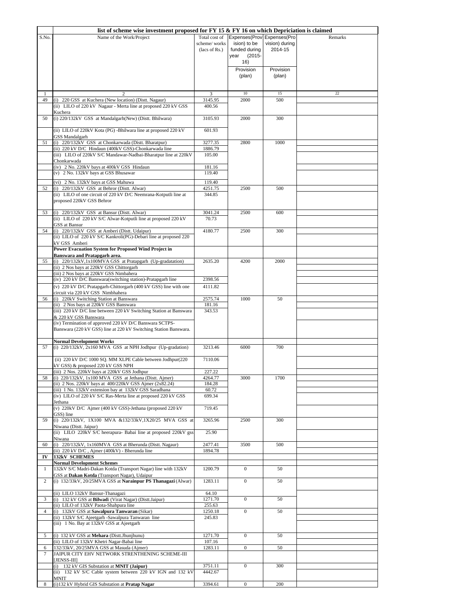|                | list of scheme wise investment proposed for FY 15 & FY 16 on which Depriciation is claimed                |                    |                            |                |         |
|----------------|-----------------------------------------------------------------------------------------------------------|--------------------|----------------------------|----------------|---------|
| S.No.          | Name of the Work/Project                                                                                  | Total cost of      | Expenses(Prov Expenses(Pro |                | Remarks |
|                |                                                                                                           | scheme/works       | ision) to be               | vision) during |         |
|                |                                                                                                           | (lacs of Rs.)      | funded during              | 2014-15        |         |
|                |                                                                                                           |                    | $(2015 -$<br>year          |                |         |
|                |                                                                                                           |                    | 16)                        |                |         |
|                |                                                                                                           |                    | Provision                  | Provision      |         |
|                |                                                                                                           |                    | (plan)                     | (plan)         |         |
|                |                                                                                                           |                    |                            |                |         |
| 1              | 2                                                                                                         | 3                  | 10                         | 15             | $22\,$  |
| 49             | (i) 220 GSS at Kuchera (New location) (Distt. Nagaur)                                                     | 3145.95            | 2000                       | 500            |         |
|                | (ii) LILO of 220 kV Nagaur - Merta line at proposed 220 kV GSS                                            | 400.56             |                            |                |         |
|                | Kuchera                                                                                                   |                    |                            |                |         |
| 50             | (i) 220/132kV GSS at Mandalgarh(New) (Distt. Bhilwara)                                                    | 3105.93            | 2000                       | 300            |         |
|                |                                                                                                           |                    |                            |                |         |
|                | (ii) LILO of 220kV Kota (PG) -Bhilwara line at proposed 220 kV<br><b>GSS Mandalgarh</b>                   | 601.93             |                            |                |         |
| 51             | (i) 220/132kV GSS at Chonkarwada (Distt. Bharatpur)                                                       | 3277.35            | 2800                       | 1000           |         |
|                | (ii) 220 kV D/C Hindaun (400kV GSS)-Chonkarwada line                                                      | 1886.79            |                            |                |         |
|                | (iii) LILO of 220kV S/C Mandawar-Nadbai-Bharatpur line at 220kV                                           | 105.00             |                            |                |         |
|                | Chonkarwada                                                                                               |                    |                            |                |         |
|                | (iv) 2 No. 220kV bays at 400kV GSS Hindaun                                                                | 181.16             |                            |                |         |
|                | (v) 2 No. 132kV bays at GSS Bhusawar                                                                      | 119.40             |                            |                |         |
|                | (vi) 2 No. 132kV bays at GSS Mahuwa                                                                       | 119.40             |                            |                |         |
| 52             | (i) 220/132kV GSS at Behror (Distt. Alwar)                                                                | 4251.75            | 2500                       | 500            |         |
|                | (ii) LILO of one circuit of 220 kV D/C Neemrana-Kotputli line at                                          | 344.85             |                            |                |         |
|                | proposed 220kV GSS Behror                                                                                 |                    |                            |                |         |
| 53             | (i) 220/132kV GSS at Bansur (Distt. Alwar)                                                                | 3041.24            | 2500                       | 600            |         |
|                | (ii) LILO of 220 kV S/C Alwar-Kotputli line at proposed 220 kV                                            | 70.73              |                            |                |         |
|                | <b>GSS</b> at Bansur                                                                                      |                    |                            |                |         |
| 54             | (i) 220/132kV GSS at Amberi (Distt. Udaipur)                                                              | 4180.77            | 2500                       | 300            |         |
|                | (ii) LILO of 220 kV S/C Kankroli(PG)-Debari line at proposed 220                                          |                    |                            |                |         |
|                | kV GSS Amberi                                                                                             |                    |                            |                |         |
|                | <b>Power Evacuation System for Proposed Wind Project in</b>                                               |                    |                            |                |         |
| 55             | Banswara and Pratapgarh area.<br>(i) 220/132kV,1x100MVA GSS at Pratapgarh (Up-gradatation)                | 2635.20            | 4200                       | 2000           |         |
|                | (ii) 2 Nos bays at 220kV GSS Chittorgarh                                                                  |                    |                            |                |         |
|                | (iii) 2 Nos bays at 220kV GSS Nimbahera                                                                   |                    |                            |                |         |
|                | (iv) 220 kV D/C Banswara(switching station)-Pratapgarh line                                               | 2398.56            |                            |                |         |
|                | (v) 220 kV D/C Pratapgarh-Chittorgarh (400 kV GSS) line with one                                          | 4111.82            |                            |                |         |
|                | circuit via 220 kV GSS Nimbhahera                                                                         |                    |                            |                |         |
| 56             | (i) 220kV Switching Station at Banswara                                                                   | 2575.74            | 1000                       | 50             |         |
|                | (ii) 2 Nos bays at 220kV GSS Banswara                                                                     | 181.16             |                            |                |         |
|                | (iii) 220 kV D/C line between 220 kV Switching Station at Banswara                                        | 343.53             |                            |                |         |
|                | & 220 kV GSS Banswara<br>(iv) Termination of approved 220 kV D/C Banswara SCTPS-                          |                    |                            |                |         |
|                | Banswara (220 kV GSS) line at 220 kV Switching Station Banswara.                                          |                    |                            |                |         |
|                |                                                                                                           |                    |                            |                |         |
|                | Normal Development Works                                                                                  |                    |                            |                |         |
| 57             | (i) 220/132kV, 2x160 MVA GSS at NPH Jodhpur (Up-gradation)                                                | 3213.46            | 6000                       | 700            |         |
|                |                                                                                                           |                    |                            |                |         |
|                | (ii) 220 kV D/C 1000 SQ. MM XLPE Cable between Jodhpur(220<br>kV GSS) & proposed 220 kV GSS NPH           | 7110.06            |                            |                |         |
|                | (iii) 2 Nos. 220kV bays at 220kV GSS Jodhpur                                                              | 227.22             |                            |                |         |
| 58             | (i) 220/132kV, 1x100 MVA GSS at Jethana (Distt. Ajmer)                                                    | 4264.77            | 3000                       | 1700           |         |
|                | (ii) 2 Nos. 220kV bays at 400/220kV GSS Ajmer (2x82.24)                                                   | 184.28             |                            |                |         |
|                | (iii) 1 No. 132kV extension bay at 132kV GSS Saradhana                                                    | 60.72              |                            |                |         |
|                | (iv) LILO of 220 kV S/C Ras-Merta line at proposed 220 kV GSS                                             | 699.34             |                            |                |         |
|                | Jethana<br>(v) 220kV D/C Ajmer (400 kV GSS)-Jethana (proposed 220 kV                                      | 719.45             |                            |                |         |
|                | GSS) line                                                                                                 |                    |                            |                |         |
| 59             | (i) 220/132kV, 1X100 MVA &132/33kV,1X20/25 MVA GSS at                                                     | 3265.96            | 2500                       | 300            |         |
|                | Niwana (Distt. Jaipur)                                                                                    |                    |                            |                |         |
|                | (ii) LILO 220kV S/C heerapura- Babai line at proposed 220kV gss                                           | 25.90              |                            |                |         |
|                | Niwana                                                                                                    |                    |                            |                |         |
| 60             | (i) 220/132kV, 1x160MVA GSS at Bherunda (Distt. Nagaur)<br>(ii) 220 kV D/C, Ajmer (400kV) - Bherunda line | 2477.41<br>1894.78 | 3500                       | 500            |         |
| IV             | <b>132kV SCHEMES</b>                                                                                      |                    |                            |                |         |
|                | <b>Normal Development Schemes</b>                                                                         |                    |                            |                |         |
| $\mathbf{1}$   | 132kV S/C Madri-Dakan Kotda (Transport Nagar) line with 132kV                                             | 1200.79            | $\overline{0}$             | 50             |         |
|                | GSS at Dakan Kotda (Transport Nagar), Udaipur                                                             |                    |                            |                |         |
| $\overline{2}$ | (i) 132/33kV, 20/25MVA GSS at Narainpur PS Thanagazi (Alwar)                                              | 1283.11            | $\mathbf{0}$               | 50             |         |
|                |                                                                                                           |                    |                            |                |         |
| 3              | (ii) LILO 132kV Bansur-Thanagazi<br>(i) 132 kV GSS at Bilwadi (Virat Nagar) (Distt.Jaipur)                | 64.10<br>1271.70   | $\boldsymbol{0}$           | 50             |         |
|                | (ii) LILO of 132kV Paota-Shahpura line                                                                    | 255.63             |                            |                |         |
| $\overline{4}$ | (i) 132kV GSS at Sawalpura Tanwaran (Sikar)                                                               | 1250.18            | $\mathbf{0}$               | 50             |         |
|                | (ii) 132kV S/C Ajeetgarh -Sawalpura Tanwaran line                                                         | 245.83             |                            |                |         |
|                | (iii) 1 No. Bay at 132kV GSS at Ajeetgarh                                                                 |                    |                            |                |         |
|                |                                                                                                           |                    |                            |                |         |
| 5              | (i) 132 kV GSS at Mehara (Distt.Jhunjhunu)                                                                | 1271.70            | $\mathbf{0}$               | 50             |         |
| 6              | (ii) LILO of 132kV Khetri Nagar-Babai line<br>132/33kV, 20/25MVA GSS at Masuda (Ajmer)                    | 107.16<br>1283.11  | $\mathbf{0}$               | 50             |         |
| $\tau$         | JAIPUR CITY EHV NETWORK STRENTHENING SCHEME-III                                                           |                    |                            |                |         |
|                | [JENSS-III]                                                                                               |                    |                            |                |         |
|                | (i) 132 kV GIS Substation at MNIT (Jaipur)                                                                | 3751.11            | $\mathbf{0}$               | 300            |         |
|                | (ii) 132 kV S/C Cable system between 220 kV IGN and 132 kV                                                | 4442.67            |                            |                |         |
|                | <b>MNIT</b>                                                                                               |                    |                            |                |         |
| 8              | (i)132 kV Hybrid GIS Substation at Pratap Nagar                                                           | 3394.61            | $\boldsymbol{0}$           | 200            |         |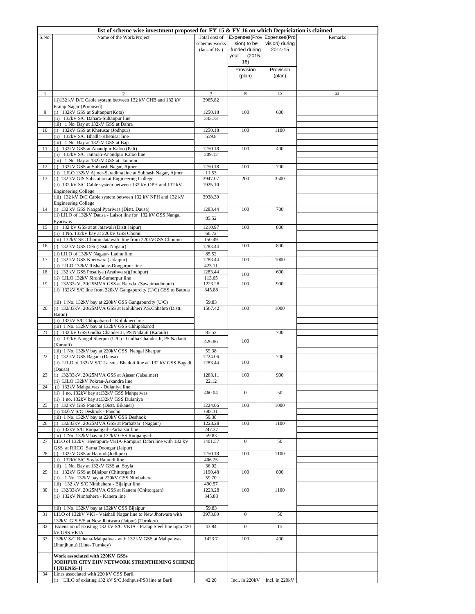|       | list of scheme wise investment proposed for FY 15 $\&$ FY 16 on which Depriciation is claimed                           |                               |                               |                           |         |
|-------|-------------------------------------------------------------------------------------------------------------------------|-------------------------------|-------------------------------|---------------------------|---------|
| S.No. | Name of the Work/Project                                                                                                | Total cost of                 | Expenses(Prov Expenses(Pro    |                           | Remarks |
|       |                                                                                                                         | scheme/works<br>(lacs of Rs.) | ision) to be<br>funded during | vision) during<br>2014-15 |         |
|       |                                                                                                                         |                               | $(2015 -$<br>year             |                           |         |
|       |                                                                                                                         |                               | 16)                           |                           |         |
|       |                                                                                                                         |                               | Provision                     | Provision                 |         |
|       |                                                                                                                         |                               | (plan)                        | (plan)                    |         |
|       |                                                                                                                         |                               |                               |                           |         |
| 1     |                                                                                                                         | 3                             | $10\,$                        | 15                        | 22      |
|       | (ii) 132 kV D/C Cable system between 132 kV CHB and 132 kV                                                              | 3965.82                       |                               |                           |         |
| 9     | Pratap Nagar (Proposed)<br>(i) 132kV GSS at Sultanpur(Kota)                                                             | 1250.18                       | 100                           | 600                       |         |
|       | (ii) 132kV S/C Dahara-Sultanpur line                                                                                    | 343.73                        |                               |                           |         |
|       | (iii) 1 No. Bay at 132kV GSS at Dahra                                                                                   |                               |                               |                           |         |
| 10    | (i) 132kV GSS at Khetusar (Jodhpur)<br>(ii) 132kV S/C Bhadla-Khetusar line                                              | 1250.18<br>559.8              | 100                           | 1100                      |         |
|       | (iii) 1 No. Bay at 132kV GSS at Bap                                                                                     |                               |                               |                           |         |
| 11    | (i) 132kV GSS at Anandpur Kaloo (Pali)                                                                                  | 1250.18                       | 100                           | 400                       |         |
|       | (ii) 132kV S/C Jaitaran-Anandpur Kaloo line                                                                             | 209.12                        |                               |                           |         |
| 12    | (iii) 1 No. Bay at 132kV GSS at Jaitaran<br>(i) 132kV GSS at Subhash Nagar, Ajmer                                       | 1250.18                       | 100                           | 700                       |         |
|       | (ii) LILO 132kV Ajmer-Saradhna line at Subhash Nagar, Ajmer                                                             | 11.53                         |                               |                           |         |
| 13    | (i) 132 kV GIS Substation at Engineering College                                                                        | 3947.07                       | 200                           | 3500                      |         |
|       | (ii) 132 kV S/C Cable system between 132 kV OPH and 132 kV<br><b>Engineering College</b>                                | 1925.10                       |                               |                           |         |
|       | (iii) 132 kV D/C Cable system between 132 kV NPH and 132 kV                                                             | 3938.30                       |                               |                           |         |
|       | <b>Engineering College</b>                                                                                              |                               |                               |                           |         |
| 14    | (i) 132 kV GSS Nangal Pyariwas (Distt. Dausa)<br>(ii) LILO of 132kV Dausa - Lalsot line for 132 kV GSS Nangal           | 1283.44                       | 100                           | 700                       |         |
|       | Pyariwas                                                                                                                | 85.52                         |                               |                           |         |
| 15    | (i) 132 kV GSS at at Jatawali (Distt.Jaipur)                                                                            | 1210.97                       | 100                           | 800                       |         |
|       | (ii) 1 No. 132kV bay at 220kV GSS Chomu                                                                                 | 60.72                         |                               |                           |         |
| 16    | (iii) 132kV S/C Chomu-Jatawali line from 220kVGSS Choumu<br>(i) 132 kV GSS Deh (Distt. Nagaur)                          | 150.49<br>1283.44             | 100                           | 800                       |         |
|       | (ii) LILO of 132kV Nagaur- Ladnu line                                                                                   | 85.52                         |                               |                           |         |
| 17    | (i) 132 kV GSS Kherwara (Udaipur)                                                                                       | 1283.44                       | 100                           | 1000                      |         |
|       | (ii) LILO 132kV Rishabdev-Dungarpur line                                                                                | 423.11                        |                               |                           |         |
| 18    | (i) 132 kV GSS Posaliya (Arathwara)(Jodhpur)                                                                            | 1283.44                       | 100                           | 600                       |         |
| 19    | (ii) LILO 132kV Sirohi-Sumerpur line<br>(i) 132/33kV, 20/25MVA GSS at Batoda (Sawaimadhopur)                            | 113.65<br>1223.28             | 100                           | 900                       |         |
|       | (ii) 132kV S/C line from 220kV Gangapurcity (U/C) GSS to Batoda                                                         | 345.88                        |                               |                           |         |
|       |                                                                                                                         |                               |                               |                           |         |
| 20    | (iii) 1 No. 132kV bay at 220kV GSS Gangapurcity (U/C)<br>(i) 132/33kV, 20/25MVA GSS at Kolukheri P.S.Chhabra (Distt.    | 59.83<br>1567.42              | 100                           | 1000                      |         |
|       | Baran)                                                                                                                  |                               |                               |                           |         |
|       | (ii) 132kV S/C Chhipabarod - Kolukheri line                                                                             |                               |                               |                           |         |
|       | (iii) 1 No. 132kV bay at 132kV GSS Chhipabarod                                                                          |                               |                               |                           |         |
| 21    | (i) 132 kV GSS Gudha Chander Ji, PS Nadauti (Karauli)<br>(ii) 132kV Nangal Sherpur (U/C) - Gudha Chander Ji, PS Nadauti | 85.52                         |                               | 700                       |         |
|       | (Karauli)                                                                                                               | 426.86                        | 100                           |                           |         |
|       | (iii) 1 No. 132kV bay at 220kV GSS Nangal Sherpur                                                                       | 59.38                         |                               |                           |         |
| 22    | (i) 132 kV GSS Bagadi (Dausa)<br>(ii) LILO of 132kV S/C Lalsot - Bhadoti line at 132 kV GSS Bagadi                      | 1224.06<br>1283.44            | 100                           | 700                       |         |
|       | (Dausa)                                                                                                                 |                               |                               |                           |         |
| 23    | (i) 132/33kV, 20/25MVA GSS at Ajasar (Jaisalmer)                                                                        | 1283.11                       | 100                           | 900                       |         |
| 24    | (ii) LILO 132kV Pokran-Askandra line<br>(i) 132kV Mahpalwas - Dulaniya line                                             | 22.12                         |                               |                           |         |
|       | (ii) 1 no. 132kV bay at 132kV GSS Mahpalwas                                                                             | 460.04                        | $\bf{0}$                      | 50                        |         |
|       | (ii) 1 no. 132kV bay at 132kV GSS Dulaniya                                                                              |                               |                               |                           |         |
| 25    | (i) 132 kV GSS Panchu (Distt. Bikaner)<br>(ii) 132kV S/C Deshnok - Panchu                                               | 1224.06                       | 100                           | 1000                      |         |
|       | (iii) 1 No. 132kV bay at 220kV GSS Deshnok                                                                              | 682.31<br>59.38               |                               |                           |         |
| 26    | (i) 132/33kV, 20/25MVA GSS at Parbatsar (Nagaur)                                                                        | 1223.28                       | 100                           | 1100                      |         |
|       | (ii) 132kV S/C Roopangarh-Parbatsar line                                                                                | 247.37                        |                               |                           |         |
| 27    | (iii) 1 No. 132kV bay at 132kV GSS Roopangarh<br>LILO of 132kV Heerapura-VKIA-Rampura Dabri line with 132 kV            | 59.83<br>1401.57              | $\mathbf{0}$                  | 50                        |         |
|       | GSS at RIICO, Sarna Doongar (Jaipur)                                                                                    |                               |                               |                           |         |
| 28    | (i) 132kV GSS at Hatundi(Jodhpur)                                                                                       | 1250.18                       | 100                           | 1100                      |         |
|       | (ii) 132kV S/C Soyla-Hatundi line<br>(iii) 1 No. Bay at 132kV GSS at Soyla                                              | 406.25<br>36.02               |                               |                           |         |
| 29    | (i) 132kV GSS at Bijaipur (Chittorgarh)                                                                                 | 1190.48                       | 100                           | 800                       |         |
|       | (ii) 1 No. 132kV bay at 220kV GSS Nimbahera                                                                             | 59.70                         |                               |                           |         |
|       | (iii) 132 kV S/C Nimbahera - Bijaipur line<br>(i) 132/33kV, 20/25MVA GSS at Kanera (Chittorgarh)                        | 490.57                        |                               |                           |         |
| 30    | (ii) 132kV Nimbahera - Kanera line                                                                                      | 1223.28<br>345.88             | 100                           | 1100                      |         |
|       |                                                                                                                         |                               |                               |                           |         |
|       | (iii) 1 No. 132kV bay at 132kV GSS Bijaipur                                                                             | 59.83                         |                               |                           |         |
| 31    | LILO of 132kV VKI - Vaishali Nagar line to New Jhotwara with<br>132kV GIS S/S at New Jhotwara (Jaipur) (Turnkey)        | 3973.80                       | $\overline{0}$                | 50                        |         |
| 32    | Extension of Existing 132 kV S/C VKIA - Pratap Steel line upto 220                                                      | 43.84                         | $\boldsymbol{0}$              | 15                        |         |
|       | kV GSS VKIA                                                                                                             |                               |                               |                           |         |
| 33    | 132kV S/C Buhana-Mahpalwas with 132 kV GSS at Mahpalwas                                                                 | 1423.7                        | 100                           | 400                       |         |
|       | (Jhunjhunu) (Line-Turnkey)                                                                                              |                               |                               |                           |         |
|       | Work associated with 220KV GSSs                                                                                         |                               |                               |                           |         |
|       | JODHPUR CITY EHV NETWORK STRENTHENING SCHEME<br>I [JDENSS-I]                                                            |                               |                               |                           |         |
| 34    | Lines associated with 220 kV GSS Barli.                                                                                 |                               |                               |                           |         |
|       | LILO of existing 132 kV S/C Jodhpur-PS8 line at Barli<br>(i)                                                            | 42.20                         | Incl. in 220kV                | Incl. in 220kV            |         |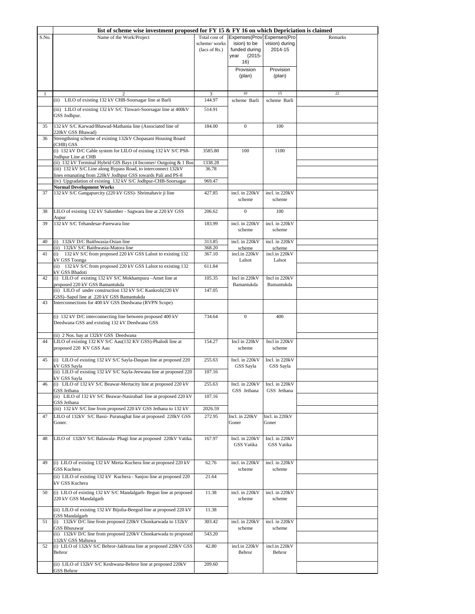|          | list of scheme wise investment proposed for FY 15 $\&$ FY 16 on which Depriciation is claimed                                                                 |                                                |                                                                                         |                              |         |
|----------|---------------------------------------------------------------------------------------------------------------------------------------------------------------|------------------------------------------------|-----------------------------------------------------------------------------------------|------------------------------|---------|
| S.No.    | Name of the Work/Project                                                                                                                                      | Total cost of<br>scheme/works<br>(lacs of Rs.) | Expenses(Prov Expenses(Pro<br>ision) to be<br>funded during<br>$(2015 -$<br>year<br>16) | vision) during<br>2014-15    | Remarks |
|          |                                                                                                                                                               |                                                | Provision<br>(plan)                                                                     | Provision<br>(plan)          |         |
|          | $\mathfrak{D}$                                                                                                                                                | 3                                              | 10                                                                                      | 15                           | 22      |
|          | (ii) LILO of existing 132 kV CHB-Soorsagar line at Barli                                                                                                      | 144.97                                         | scheme Barli                                                                            | scheme Barli                 |         |
|          | (iii) LILO of existing 132 kV S/C Tinwari-Soorsagar line at 400kV<br>GSS Jodhpur.                                                                             | 514.91                                         |                                                                                         |                              |         |
| 35<br>36 | 132 kV S/C Karwad/Bhawad-Mathania line (Associated line of<br>220kV GSS Bhawad)<br>Strengthning scheme of existing 132kV Chopasani Housing Board<br>(CHB) GSS | 184.00                                         | $\mathbf{0}$                                                                            | 100                          |         |
|          | (i) 132 kV D/C Cable system for LILO of existing 132 kV S/C PS8-<br>Jodhpur Line at CHB                                                                       | 3585.80                                        | 100                                                                                     | 1100                         |         |
|          | (ii) 132 kV Terminal Hybrid GIS Bays (4 Incomer/ Outgoing & 1 Bus<br>(iii) 132 kV S/C Line along Bypass Road, to interconnect 132kV                           | 1338.28<br>36.78                               |                                                                                         |                              |         |
|          | lines emanating from 220kV Jodhpur GSS towards Pali and PS-8                                                                                                  |                                                |                                                                                         |                              |         |
|          | (iv) Upgradation of existing 132 kV S/C Jodhpur-CHB-Soorsagar                                                                                                 | 969.47                                         |                                                                                         |                              |         |
| 37       | <b>Normal Development Works</b><br>132 kV S/C Gangapurcity (220 kV GSS)- Shrimahavir ji line                                                                  | 427.85                                         | incl. in 220kV                                                                          | incl. in 220kV               |         |
| 38       | LILO of existing 132 kV Salumber - Sagwara line at 220 kV GSS                                                                                                 | 206.62                                         | scheme<br>$\boldsymbol{0}$                                                              | scheme<br>100                |         |
|          | Aspur                                                                                                                                                         |                                                |                                                                                         |                              |         |
| 39       | 132 kV S/C Tehandesar-Parewara line                                                                                                                           | 183.99                                         | incl. in 220kV<br>scheme                                                                | incl. in 220kV<br>scheme     |         |
| 40       | (i) 132kV D/C Baithwasia-Osian line                                                                                                                           | 313.85                                         | incl. in 220kV                                                                          | incl. in 220kV               |         |
| 41       | (ii) 132kV S/C Baithwasia-Matora line<br>(i) 132 kV S/C from proposed 220 kV GSS Lalsot to existing 132                                                       | 368.20<br>367.10                               | scheme<br>incl.in 220kV                                                                 | scheme<br>incl.in 220kV      |         |
|          | kV GSS Toonga<br>(ii) 132 kV S/C from proposed 220 kV GSS Lalsot to existing 132                                                                              | 611.84                                         | Lalsot                                                                                  | Lalsot                       |         |
| 42       | kV GSS Bhadoti<br>(i) LILO of existing 132 kV S/C Mokhampura -Amet line at                                                                                    | 105.35                                         | Incl in 220kV                                                                           | Incl in 220kV                |         |
|          | proposed 220 kV GSS Bamantukda<br>(ii) LILO of under construction 132 kV S/C Kankroli(220 kV                                                                  | 147.05                                         | Bamantukda                                                                              | Bamantukda                   |         |
| 43       | GSS)-Sapol line at 220 kV GSS Bamantukda<br>Interconnections for 400 kV GSS Deedwana (RVPN Scope)                                                             |                                                |                                                                                         |                              |         |
|          | (i) 132 kV D/C interconnecting line between proposed 400 kV<br>Deedwana GSS and existing 132 kV Deedwana GSS                                                  | 734.64                                         | $\mathbf{0}$                                                                            | 400                          |         |
| 44       | (ii) 2 Nos. bay at 132kV GSS Deedwana<br>LILO of existing 132 KV S/C Aau(132 KV GSS)-Phalodi line at<br>proposed 220 KV GSS Aau                               | 154.27                                         | Incl in 220kV<br>scheme                                                                 | Incl in 220kV<br>scheme      |         |
| 45       | (i) LILO of existing 132 kV S/C Sayla-Daspan line at proposed 220                                                                                             | 255.63                                         | Incl. in 220kV                                                                          | Incl. in 220kV               |         |
|          | kV GSS Sayla<br>(ii) LILO of existing 132 kV S/C Sayla-Jeewana line at proposed 220<br>kV GSS Sayla                                                           | 107.16                                         | GSS Sayla                                                                               | GSS Sayla                    |         |
| 46       | (i) LILO of 132 kV S/C Beawar-Mertacity line at proposed 220 kV                                                                                               | 255.63                                         | Incl. in 220kV                                                                          | Incl. in 220kV               |         |
|          | GSS Jethana<br>(ii) LILO of 132 kV S/C Beawar-Nasirabad line at proposed 220 kV<br>GSS Jethana                                                                | 107.16                                         | GSS Jethana                                                                             | GSS Jethana                  |         |
|          | (iii) 132 kV S/C line from proposed 220 kV GSS Jethana to 132 kV                                                                                              | 2026.59                                        |                                                                                         |                              |         |
| 47       | LILO of 132kV S/C Bassi- Puranaghat line at proposed 220kV GSS<br>Goner.                                                                                      | 272.95                                         | Incl. in 220kV<br>Goner                                                                 | Incl. in 220kV<br>Goner      |         |
| 48       | LILO of 132kV S/C Balawala- Phagi line at proposed 220kV Vatika.                                                                                              | 167.97                                         | Incl. in 220kV<br>GSS Vatika                                                            | Incl. in 220kV<br>GSS Vatika |         |
| 49       | (i) LILO of existing 132 kV Merta-Kuchera line at proposed 220 kV<br><b>GSS Kuchera</b>                                                                       | 62.76                                          | incl. in 220kV<br>scheme                                                                | incl. in 220kV<br>scheme     |         |
|          | (ii) LILO of existing 132 kV Kuchera - Sanjoo line at proposed 220                                                                                            | 21.64                                          |                                                                                         |                              |         |
| 50       | kV GSS Kuchera<br>(i) LILO of existing 132 kV S/C Mandalgarh- Begun line at proposed                                                                          | 11.38                                          | incl. in 220kV                                                                          | incl. in 220kV               |         |
|          | 220 kV GSS Mandalgarh                                                                                                                                         |                                                | scheme                                                                                  | scheme                       |         |
| 51       | (ii) LILO of existing 132 kV Bijolia-Beegod line at proposed 220 kV<br>GSS Mandalgarh<br>(i) 132kV D/C line from proposed 220kV Chonkarwada to 132kV          | 11.38<br>303.42                                | incl. in 220kV                                                                          | incl. in 220kV               |         |
|          | GSS Bhusawar                                                                                                                                                  |                                                | scheme                                                                                  | scheme                       |         |
|          | (ii) 132kV D/C line from proposed 220kV Chonkarwada to proposed<br>132kV GSS Mahuwa                                                                           | 543.20                                         |                                                                                         |                              |         |
| 52       | (i) LILO of 132kV S/C Behror-Jakhrana line at proposed 220kV GSS<br>Behror                                                                                    | 42.80                                          | incl.in 220kV<br>Behror                                                                 | incl.in 220kV<br>Behror      |         |
|          | (ii) LILO of 132kV S/C Keshwana-Behror line at proposed 220kV<br>GSS Behror                                                                                   | 209.60                                         |                                                                                         |                              |         |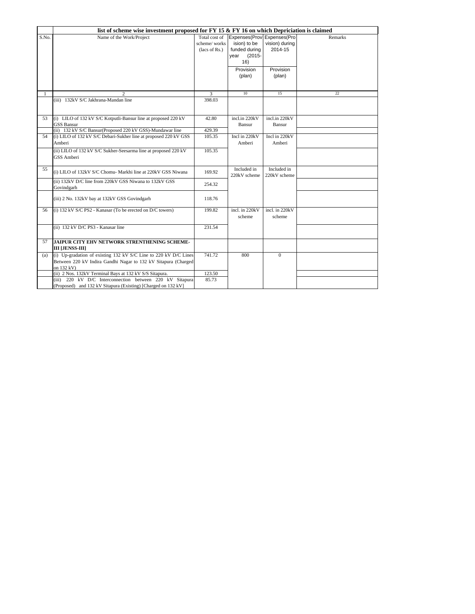|       | list of scheme wise investment proposed for $FY$ 15 & $FY$ 16 on which Depriciation is claimed |               |                            |                |         |  |  |
|-------|------------------------------------------------------------------------------------------------|---------------|----------------------------|----------------|---------|--|--|
| S.No. | Name of the Work/Project                                                                       | Total cost of | Expenses(Prov Expenses(Pro |                | Remarks |  |  |
|       |                                                                                                | scheme/works  | ision) to be               | vision) during |         |  |  |
|       |                                                                                                | (lacs of Rs.) | funded during              | 2014-15        |         |  |  |
|       |                                                                                                |               | $(2015 -$<br>year          |                |         |  |  |
|       |                                                                                                |               | 16)                        |                |         |  |  |
|       |                                                                                                |               | Provision                  | Provision      |         |  |  |
|       |                                                                                                |               | (plan)                     | (plan)         |         |  |  |
|       |                                                                                                |               |                            |                |         |  |  |
|       |                                                                                                |               | 10                         | 15             | 22      |  |  |
|       | (iii) 132kV S/C Jakhrana-Mandan line                                                           | 3<br>398.03   |                            |                |         |  |  |
|       |                                                                                                |               |                            |                |         |  |  |
|       |                                                                                                |               |                            |                |         |  |  |
| 53    | (i) LILO of 132 kV S/C Kotputli-Bansur line at proposed 220 kV                                 | 42.80         | incl.in 220kV              | incl.in 220kV  |         |  |  |
|       | <b>GSS Bansur</b>                                                                              |               | Bansur                     | Bansur         |         |  |  |
|       | (ii) 132 kV S/C Bansur(Proposed 220 kV GSS)-Mundawar line                                      | 429.39        |                            |                |         |  |  |
| 54    | (i) LILO of 132 kV S/C Debari-Sukher line at proposed 220 kV GSS                               | 105.35        | Incl in 220kV              | Incl in 220kV  |         |  |  |
|       | Amberi                                                                                         |               | Amberi                     | Amberi         |         |  |  |
|       | (ii) LILO of 132 kV S/C Sukher-Seesarma line at proposed 220 kV                                | 105.35        |                            |                |         |  |  |
|       | GSS Amberi                                                                                     |               |                            |                |         |  |  |
|       |                                                                                                |               |                            |                |         |  |  |
| 55    | (i) LILO of 132kV S/C Chomu- Markhi line at 220kV GSS Niwana                                   | 169.92        | Included in                | Included in    |         |  |  |
|       |                                                                                                |               | 220kV scheme               | 220kV scheme   |         |  |  |
|       | (ii) 132kV D/C line from 220kV GSS Niwana to 132kV GSS                                         | 254.32        |                            |                |         |  |  |
|       | Govindgarh                                                                                     |               |                            |                |         |  |  |
|       | (iii) 2 No. 132kV bay at 132kV GSS Govindgarh                                                  | 118.76        |                            |                |         |  |  |
|       |                                                                                                |               |                            |                |         |  |  |
| 56    | (i) 132 kV S/C PS2 - Kanasar (To be erected on D/C towers)                                     | 199.82        | incl. in 220kV             | incl. in 220kV |         |  |  |
|       |                                                                                                |               | scheme                     | scheme         |         |  |  |
|       | (ii) 132 kV D/C PS3 - Kanasar line                                                             | 231.54        |                            |                |         |  |  |
|       |                                                                                                |               |                            |                |         |  |  |
| 57    | JAIPUR CITY EHV NETWORK STRENTHENING SCHEME-                                                   |               |                            |                |         |  |  |
|       | <b>III [JENSS-III]</b>                                                                         |               |                            |                |         |  |  |
| (a)   | (i) Up-gradation of existing 132 kV S/C Line to 220 kV D/C Lines                               | 741.72        | 800                        | $\Omega$       |         |  |  |
|       | Between 220 kV Indira Gandhi Nagar to 132 kV Sitapura (Charged                                 |               |                            |                |         |  |  |
|       | on 132 kV)                                                                                     |               |                            |                |         |  |  |
|       | (ii) 2 Nos. 132kV Terminal Bays at 132 kV S/S Sitapura.                                        | 123.50        |                            |                |         |  |  |
|       | (iii) 220 kV D/C Interconnection between 220 kV Sitapura                                       | 85.73         |                            |                |         |  |  |
|       | (Proposed) and 132 kV Sitapura (Existing) [Charged on 132 kV]                                  |               |                            |                |         |  |  |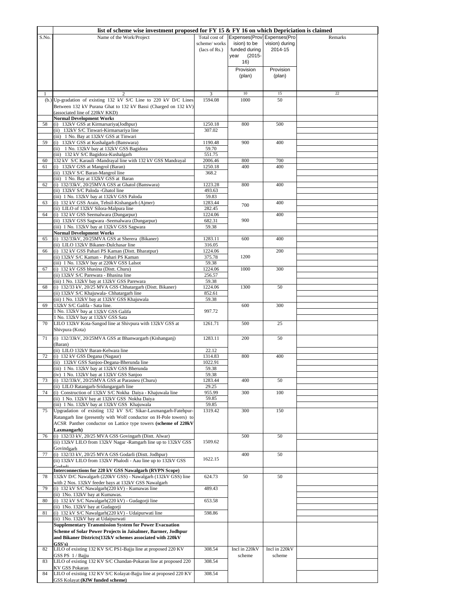|       | list of scheme wise investment proposed for FY 15 $\&$ FY 16 on which Depriciation is claimed                                                                                                                                             |                                                |                                                                                      |                           |         |
|-------|-------------------------------------------------------------------------------------------------------------------------------------------------------------------------------------------------------------------------------------------|------------------------------------------------|--------------------------------------------------------------------------------------|---------------------------|---------|
| S.No. | Name of the Work/Project                                                                                                                                                                                                                  | Total cost of<br>scheme/works<br>(lacs of Rs.) | Expenses(Prov Expenses(Pro<br>ision) to be<br>funded during<br>year<br>(2015-<br>16) | vision) during<br>2014-15 | Remarks |
|       |                                                                                                                                                                                                                                           |                                                | Provision<br>(plan)                                                                  | Provision<br>(plan)       |         |
|       |                                                                                                                                                                                                                                           | 3                                              | $10\,$                                                                               | 15                        | 22      |
|       | (b.) Up-gradation of existing 132 kV S/C Line to 220 kV D/C Lines<br>Between 132 kV Purana Ghat to 132 kV Bassi (Charged on 132 kV)<br>(associated line of 220kV KKD)                                                                     | 1594.08                                        | 1000                                                                                 | 50                        |         |
| 58    | <b>Normal Development Works</b><br>(i) 132kV GSS at Kirmarsariya(Jodhpur)<br>(ii) 132kV S/C Tinwari-Kirmarsariya line                                                                                                                     | 1250.18<br>307.02                              | 800                                                                                  | 500                       |         |
| 59    | (iii) 1 No. Bay at 132kV GSS at Tinwari<br>(i) 132kV GSS at Kushalgarh (Banswara)<br>(ii) 1 No. 132kV bay at 132kV GSS Bagidora                                                                                                           | 1190.48<br>59.70                               | 900                                                                                  | 400                       |         |
|       | (iii) 132 kV S/C Bagidora-Kushalgarh                                                                                                                                                                                                      | 551.75                                         |                                                                                      |                           |         |
| 60    | 132 kV S/C Karauli -Mandrayal line with 132 kV GSS Mandrayal                                                                                                                                                                              | 2006.46                                        | 800                                                                                  | 700                       |         |
| 61    | (i) 132kV GSS at Mangrol (Baran)<br>(ii) 132kV S/C Baran-Mangrol line                                                                                                                                                                     | 1250.18<br>368.2                               | 400                                                                                  | 400                       |         |
| 62    | (iii) 1 No. Bay at 132kV GSS at Baran<br>(i) 132/33kV, 20/25MVA GSS at Ghatol (Banswara)<br>(ii) 132kV S/C Paloda -Ghatol line<br>(iii) 1 No. 132kV bay at 132kV GSS Paloda                                                               | 1223.28<br>493.63<br>59.83                     | 800                                                                                  | 400                       |         |
| 63    | (i) 132 kV GSS Arain, Tehsil-Kishangarh (Ajmer)                                                                                                                                                                                           | 1283.44                                        | 700                                                                                  | 400                       |         |
|       | (ii) LILO of 132kV Silora-Malpura line                                                                                                                                                                                                    | 282.45                                         |                                                                                      |                           |         |
| 64    | (i) 132 kV GSS Seemalwara (Dungarpur)<br>(ii) 132kV GSS Sagwara - Seemalwara (Dungarpur)<br>(iii) 1 No. 132kV bay at 132kV GSS Sagwara                                                                                                    | 1224.06<br>682.31<br>59.38                     | 900                                                                                  | 400                       |         |
|       | <b>Normal Development Works</b>                                                                                                                                                                                                           |                                                |                                                                                      |                           |         |
| 65    | (i) 132/33kV, 20/25MVA GSS at Sherera (Bikaner)<br>(ii) LILO 132kV Bikaner-Dulchasar line                                                                                                                                                 | 1283.11<br>316.05                              | 600                                                                                  | 400                       |         |
| 66    | (i) 132 kV GSS Pahari PS Kaman (Distt. Bharatpur)<br>(ii) 132kV S/C Kaman - Pahari PS Kaman                                                                                                                                               | 1224.06<br>375.78                              | 1200                                                                                 | 200                       |         |
|       | (iii) 1 No. 132kV bay at 220kV GSS Lalsot<br>(i) 132 kV GSS bhasina (Distt. Churu)                                                                                                                                                        | 59.38                                          |                                                                                      |                           |         |
| 67    | (ii) 132kV S/C Parewara - Bhasina line                                                                                                                                                                                                    | 1224.06<br>256.57                              | 1000                                                                                 | 300                       |         |
|       | (iii) 1 No. 132kV bay at 132kV GSS Parewara                                                                                                                                                                                               | 59.38                                          |                                                                                      |                           |         |
| 68    | (i) 132/33 kV, 20/25 MVA GSS Chhatargarh (Distt. Bikaner)                                                                                                                                                                                 | 1224.06                                        | 1300                                                                                 | 50                        |         |
|       | (ii) 132kV S/C Khajuwala- Chhatargarh line<br>(iii) 1 No. 132kV bay at 132kV GSS Khajuwala                                                                                                                                                | 852.61<br>59.38                                |                                                                                      |                           |         |
| 69    | 132kV S/C Galifa - Sata line.                                                                                                                                                                                                             |                                                | 600                                                                                  | 300                       |         |
|       | 1 No. 132kV bay at 132kV GSS Galifa                                                                                                                                                                                                       | 997.72                                         |                                                                                      |                           |         |
| 70    | 1 No. 132kV bay at 132kV GSS Sata<br>LILO 132kV Kota-Sangod line at Shivpura with 132kV GSS at                                                                                                                                            | 1261.71                                        | 500                                                                                  | 25                        |         |
| 71    | Shivpura (Kota)<br>(i) 132/33kV, 20/25MVA GSS at Bhanwargarh (Kishanganj)                                                                                                                                                                 | 1283.11                                        | 200                                                                                  | 50                        |         |
|       | (Baran)<br>(ii) LILO 132kV Baran-Kelwara line                                                                                                                                                                                             | 22.12                                          |                                                                                      |                           |         |
| 72    | (i) 132 kV GSS Degana (Nagaur)                                                                                                                                                                                                            | 1314.83                                        | 800                                                                                  | 400                       |         |
|       | (ii) 132kV GSS Sanjoo-Degana-Bherunda line                                                                                                                                                                                                | 1022.91                                        |                                                                                      |                           |         |
|       | (iii) 1 No. 132kV bay at 132kV GSS Bherunda                                                                                                                                                                                               | 59.38                                          |                                                                                      |                           |         |
|       | (iv) 1 No. 132kV bay at 132kV GSS Sanjoo                                                                                                                                                                                                  | 59.38                                          |                                                                                      |                           |         |
| 73    | (i) 132/33kV, 20/25MVA GSS at Parasneu (Churu)<br>(ii) LILO Ratangarh-Sridungargarh line                                                                                                                                                  | 1283.44<br>29.25                               | 400                                                                                  | 50                        |         |
| 74    | (i) Construction of 132kV S/C Nokha Daiya - Khajuwala line                                                                                                                                                                                | 955.99                                         | 300                                                                                  | 100                       |         |
|       | (ii) 1 No. 132kV bay at 132kV GSS Nokha Daiya                                                                                                                                                                                             | 59.85                                          |                                                                                      |                           |         |
|       | (iii) 1 No. 132kV bay at 132kV GSS Khajuwala<br>Upgradation of existing 132 kV S/C Sikar-Laxmangarh-Fatehpur-                                                                                                                             | 59.85<br>1319.42                               | 300                                                                                  | 150                       |         |
| 75    | Ratangarh line (presently with Wolf conductor on H-Pole towers) to<br>ACSR Panther conductor on Lattice type towers (scheme of 220kV<br>Laxmangarh)                                                                                       |                                                |                                                                                      |                           |         |
| 76    | (i) 132/33 kV, 20/25 MVA GSS Govingarh (Distt. Alwar)<br>(ii) 132kV LILO from 132kV Nagar -Ramgarh line up to 132kV GSS                                                                                                                   | 1509.62                                        | 500                                                                                  | 50                        |         |
| 77    | Govindgarh<br>(i) 132/33 kV, 20/25 MVA GSS Godarli (Distt. Jodhpur)                                                                                                                                                                       |                                                | 400                                                                                  | 50                        |         |
|       | (ii) 132kV LILO from 132kV Phalodi - Aau line up to 132kV GSS                                                                                                                                                                             | 1622.15                                        |                                                                                      |                           |         |
| 78    | Interconnections for 220 kV GSS Nawalgarh (RVPN Scope)<br>132kV D/C Nawalgarh (220kV GSS) - Nawalgarh (132kV GSS) line<br>with 2 Nos. 132kV feeder bays at 132kV GSS Nawalgarh                                                            | 624.73                                         | 50                                                                                   | 50                        |         |
| 79    | (i) 132 kV S/C Nawalgarh(220 kV) - Kumawas line                                                                                                                                                                                           | 489.43                                         |                                                                                      |                           |         |
| 80    | (ii) 1No. 132kV bay at Kumawas.<br>(i) 132 kV S/C Nawalgarh(220 kV) - Gudagorji line                                                                                                                                                      | 653.58                                         |                                                                                      |                           |         |
| 81    | (ii) 1No. 132kV bay at Gudagorji<br>(i) 132 kV S/C Nawalgarh(220 kV) - Udaipurwati line                                                                                                                                                   | 598.86                                         |                                                                                      |                           |         |
|       | (ii) 1No. 132kV bay at Udaipurwati<br><b>Supplementary Transmission System for Power Evacuation</b><br>Scheme of Solar Power Projects in Jaisalmer, Barmer, Jodhpur<br>and Bikaner Districts(132kV schemes associated with 220kV<br>GSS's |                                                |                                                                                      |                           |         |
| 82    | LILO of existing 132 KV S/C PS1-Bajju line at proposed 220 KV                                                                                                                                                                             | 308.54                                         | Incl in 220kV                                                                        | Incl in 220kV             |         |
| 83    | GSS PS 1/Bajju<br>LILO of existing 132 KV S/C Chandan-Pokaran line at proposed 220                                                                                                                                                        | 308.54                                         | scheme                                                                               | scheme                    |         |
| 84    | <b>KV GSS Pokaran</b><br>LILO of existing 132 KV S/C Kolayat-Bajju line at proposed 220 KV<br>GSS Kolayat (KfW funded scheme)                                                                                                             | 308.54                                         |                                                                                      |                           |         |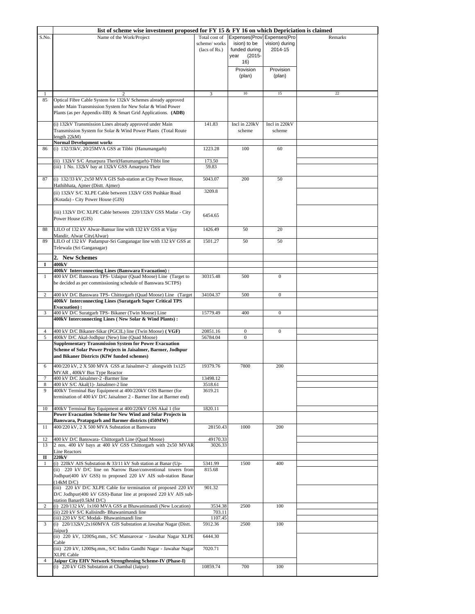|                | list of scheme wise investment proposed for FY 15 $\&$ FY 16 on which Depriciation is claimed                                                                                               |                                                |                                                                                         |                           |         |
|----------------|---------------------------------------------------------------------------------------------------------------------------------------------------------------------------------------------|------------------------------------------------|-----------------------------------------------------------------------------------------|---------------------------|---------|
| S.No.          | Name of the Work/Project                                                                                                                                                                    | Total cost of<br>scheme/works<br>(lacs of Rs.) | Expenses(Prov Expenses(Pro<br>ision) to be<br>funded during<br>$(2015 -$<br>year<br>16) | vision) during<br>2014-15 | Remarks |
|                |                                                                                                                                                                                             |                                                | Provision<br>(plan)                                                                     | Provision<br>(plan)       |         |
| 1              |                                                                                                                                                                                             | 3                                              | 10                                                                                      | 15                        | 22      |
| 85             | Optical Fibre Cable System for 132kV Schemes already approved<br>under Main Transmission System for New Solar & Wind Power<br>Plants (as per Appendix-IIB) & Smart Grid Applications. (ADB) |                                                |                                                                                         |                           |         |
|                | (i) 132kV Transmission Lines already approved under Main<br>Transmission System for Solar & Wind Power Plants (Total Route<br>length $22kM$ )                                               | 141.83                                         | Incl in 220kV<br>scheme                                                                 | Incl in 220kV<br>scheme   |         |
| 86             | <b>Normal Development works</b><br>(i) 132/33kV, 20/25MVA GSS at Tibbi (Hanumangarh)                                                                                                        | 1223.28                                        | 100                                                                                     | 60                        |         |
|                | (ii) 132kV S/C Amarpura Theri(Hanumangarh)-Tibbi line<br>(iii) 1 No. 132kV bay at 132kV GSS Amarpura Their                                                                                  | 173.50<br>59.83                                |                                                                                         |                           |         |
| 87             | (i) 132/33 kV, 2x50 MVA GIS Sub-station at City Power House,<br>Hathibhata, Ajmer (Distt. Ajmer)                                                                                            | 5043.07                                        | 200                                                                                     | 50                        |         |
|                | (ii) 132kV S/C XLPE Cable between 132kV GSS Pushkar Road<br>(Kotada) - City Power House (GIS)                                                                                               | 3209.8                                         |                                                                                         |                           |         |
|                | (iii) 132kV D/C XLPE Cable between 220/132kV GSS Madar - City<br>Power House (GIS)                                                                                                          | 6454.65                                        |                                                                                         |                           |         |
| 88             | LILO of 132 kV Alwar-Bansur line with 132 kV GSS at Vijay<br>Mandir, Alwar City(Alwar)                                                                                                      | 1426.49                                        | 50                                                                                      | 20                        |         |
| 89             | LILO of 132 kV Padampur-Sri Ganganagar line with 132 kV GSS at<br>Telewala (Sri Ganganagar)                                                                                                 | 1501.27                                        | 50                                                                                      | 50                        |         |
| 1              | 2. New Schemes<br>400kV                                                                                                                                                                     |                                                |                                                                                         |                           |         |
| $\mathbf{1}$   | 400kV Interconnecting Lines (Banswara Evacuation):<br>400 kV D/C Banswara TPS- Udaipur (Quad Moose) Line (Target to<br>be decided as per commissioning schedule of Banswara SCTPS)          | 30315.48                                       | 500                                                                                     | $\boldsymbol{0}$          |         |
| $\overline{c}$ | 400 kV D/C Banswara TPS- Chittorgarh (Quad Moose) Line (Target<br>400kV Interconnecting Lines (Suratgarh Super Critical TPS                                                                 | 34104.37                                       | 500                                                                                     | $\boldsymbol{0}$          |         |
| 3              | <b>Evacuation</b> ):<br>400 kV D/C Suratgarh TPS- Bikaner (Twin Moose) Line                                                                                                                 | 15779.49                                       | 400                                                                                     | $\overline{0}$            |         |
|                | 400kV Interconnecting Lines (New Solar & Wind Plants):                                                                                                                                      |                                                |                                                                                         |                           |         |
| 4<br>5         | 400 kV D/C Bikaner-Sikar (PGCIL) line (Twin Moose) (VGF)<br>400kV D/C Akal-Jodhpur (New) line (Quad Moose)                                                                                  | 20851.16<br>56784.04                           | $\boldsymbol{0}$<br>$\mathbf{0}$                                                        | $\boldsymbol{0}$          |         |
|                | <b>Supplementary Transmission System for Power Evacuation</b><br>Scheme of Solar Power Projects in Jaisalmer, Barmer, Jodhpur<br>and Bikaner Districts (KfW funded schemes)                 |                                                |                                                                                         |                           |         |
| 6<br>7         | 400/220 kV, 2 X 500 MVA GSS at Jaisalmer-2 alongwith 1x125<br>MVAR, 400kV Bus Type Reactor<br>400 kV D/C Jaisalmer-2 -Barmer line                                                           | 19379.76<br>13498.12                           | 7800                                                                                    | 200                       |         |
| 8<br>9         | 400 kV S/C Akal(1)- Jaisalmer-2 line<br>400kV Terminal Bay Equipment at 400/220kV GSS Barmer (for<br>termination of 400 kV D/C Jaisalmer 2 - Barmer line at Barmer end)                     | 3518.61<br>3619.21                             |                                                                                         |                           |         |
| 10             | 400kV Terminal Bay Equipment at 400/220kV GSS Akal 1 (for<br>Power Evacuation Scheme for New Wind and Solar Projects in<br>Banswara, Pratapgarh and Barmer districts (450MW)                | 1820.11                                        |                                                                                         |                           |         |
| 11<br>12       | 400/220 kV, 2 X 500 MVA Substation at Banswara<br>400 kV D/C Banswara- Chittorgarh Line (Quad Moose)                                                                                        | 28150.43<br>49170.33                           | 1000                                                                                    | 200                       |         |
| 13             | 2 nos. 400 kV bays at 400 kV GSS Chittorgarh with 2x50 MVAR<br><b>Line Reactors</b>                                                                                                         | 3026.33                                        |                                                                                         |                           |         |
| п<br>1         | 220kV<br>(i) 220kV AIS Substation & 33/11 kV Sub station at Banar (Up-                                                                                                                      | 5341.99                                        | 1500                                                                                    | 400                       |         |
|                | (ii) 220 kV D/C line on Narrow Base/conventional towers from<br>Jodhpur(400 kV GSS) to proposed 220 kV AIS sub-station Banar                                                                | 815.68                                         |                                                                                         |                           |         |
|                | (14kM D/C)<br>(iii) 220 kV D/C XLPE Cable for termination of proposed 220 kV<br>D/C Jodhpur(400 kV GSS)-Banar line at proposed 220 kV AIS sub-<br>station Banar(0.5kM D/C)                  | 901.32                                         |                                                                                         |                           |         |
| $\overline{2}$ | (i) 220/132 kV, 1x160 MVA GSS at Bhawanimandi (New Location)<br>(ii) 220 kV S/C Kalisindh- Bhawanimandi line                                                                                | 3534.38<br>703.11                              | 2500                                                                                    | 100                       |         |
|                | (iii) 220 kV S/C Modak- Bhawanimandi line                                                                                                                                                   | 1107.45                                        |                                                                                         |                           |         |
| 3              | (i) 220/132kV,2x160MVA GIS Substation at Jawahar Nagar (Distt.<br>Jaipur)                                                                                                                   | 5912.36                                        | 2500                                                                                    | 100                       |         |
|                | (ii) 220 kV, 1200Sq.mm., S/C Mansarovar - Jawahar Nagar XLPE<br>Cable<br>(iii) 220 kV, 1200Sq.mm., S/C Indira Gandhi Nagar - Jawahar Nagar                                                  | 6444.30<br>7020.71                             |                                                                                         |                           |         |
| $\overline{4}$ | <b>XLPE Cable</b><br>Jaipur City EHV Network Strengthening Scheme-IV (Phase-I)                                                                                                              |                                                |                                                                                         |                           |         |
|                | (i) 220 kV GIS Substation at Chambal (Jaipur)                                                                                                                                               | 10859.74                                       | 700                                                                                     | 100                       |         |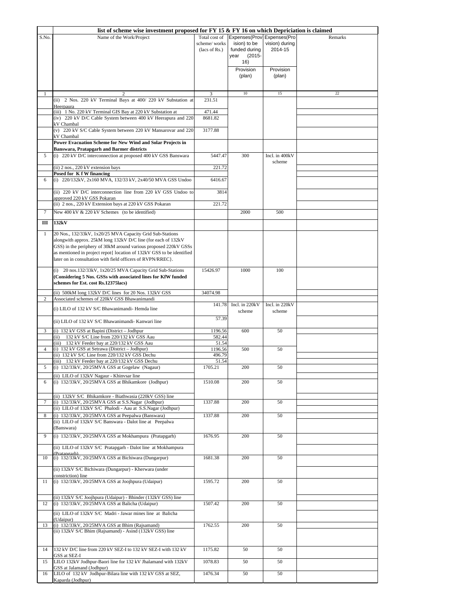|              | list of scheme wise investment proposed for FY 15 & FY 16 on which Depriciation is claimed                                                                                                                                                                                                                                             |                                                |                                                                                  |                           |         |
|--------------|----------------------------------------------------------------------------------------------------------------------------------------------------------------------------------------------------------------------------------------------------------------------------------------------------------------------------------------|------------------------------------------------|----------------------------------------------------------------------------------|---------------------------|---------|
| S.No.        | Name of the Work/Project                                                                                                                                                                                                                                                                                                               | Total cost of<br>scheme/works<br>(lacs of Rs.) | Expenses(Prov Expenses(Pro<br>ision) to be<br>funded during<br>$(2015 -$<br>year | vision) during<br>2014-15 | Remarks |
|              |                                                                                                                                                                                                                                                                                                                                        |                                                | 16)<br>Provision<br>(plan)                                                       | Provision<br>(plan)       |         |
| $\mathbf{1}$ | 2                                                                                                                                                                                                                                                                                                                                      | 3                                              | $10\,$                                                                           | 15                        | $22\,$  |
|              | (ii) 2 Nos. 220 kV Terminal Bays at 400/220 kV Substation at                                                                                                                                                                                                                                                                           | 231.51                                         |                                                                                  |                           |         |
|              | Heerpaura<br>(iii) 1 No. 220 kV Terminal GIS Bay at 220 kV Substation at                                                                                                                                                                                                                                                               | 471.44                                         |                                                                                  |                           |         |
|              | (iv) 220 kV D/C Cable System between 400 kV Heerapura and 220<br>kV Chambal                                                                                                                                                                                                                                                            | 8681.82                                        |                                                                                  |                           |         |
|              | (v) 220 kV S/C Cable System between 220 kV Mansarovar and 220<br>kV Chambal                                                                                                                                                                                                                                                            | 3177.88                                        |                                                                                  |                           |         |
|              | Power Evacuation Scheme for New Wind and Solar Projects in<br><b>Banswara, Pratapgarh and Barmer districts</b>                                                                                                                                                                                                                         |                                                |                                                                                  |                           |         |
| 5            | (i) 220 kV D/C interconnection at proposed 400 kV GSS Banswara                                                                                                                                                                                                                                                                         | 5447.47                                        | 300                                                                              | Incl. in 400kV            |         |
|              | (ii) 2 nos., 220 kV extension bays                                                                                                                                                                                                                                                                                                     | 221.72                                         |                                                                                  | scheme                    |         |
|              | Posed for K f W financing                                                                                                                                                                                                                                                                                                              |                                                |                                                                                  |                           |         |
| 6            | (i) 220/132kV, 2x160 MVA, 132/33 kV, 2x40/50 MVA GSS Undoo                                                                                                                                                                                                                                                                             | 6416.67                                        |                                                                                  |                           |         |
|              | (ii) 220 kV D/C interconnection line from 220 kV GSS Undoo to                                                                                                                                                                                                                                                                          | 3814                                           |                                                                                  |                           |         |
|              | approved 220 kV GSS Pokaran<br>(ii) 2 nos., 220 kV Extension bays at 220 kV GSS Pokaran                                                                                                                                                                                                                                                | 221.72                                         |                                                                                  |                           |         |
| 7            | New 400 kV & 220 kV Schemes (to be identified)                                                                                                                                                                                                                                                                                         |                                                | 2000                                                                             | 500                       |         |
| Ш            | 132kV                                                                                                                                                                                                                                                                                                                                  |                                                |                                                                                  |                           |         |
| $\mathbf{1}$ | 20 Nos., 132/33kV, 1x20/25 MVA Capacity Grid Sub-Stations<br>alongwith approx. 25kM long 132kV D/C line (for each of 132kV<br>GSS) in the periphery of 30kM around various proposed 220kV GSSs<br>as mentioned in project repot{ location of 132kV GSS to be identified<br>later on in consultation with field officers of RVPN/RREC}. |                                                |                                                                                  |                           |         |
|              | (i) 20 nos.132/33kV, 1x20/25 MVA Capacity Grid Sub-Stations<br>(Considering 5 Nos. GSSs with associated lines for KfW funded<br>schemes for Est. cost Rs.12375lacs)                                                                                                                                                                    | 15426.97                                       | 1000                                                                             | 100                       |         |
| 2            | (ii) 500kM long 132kV D/C lines for 20 Nos. 132kV GSS<br>Associated schemes of 220kV GSS Bhawanimandi                                                                                                                                                                                                                                  | 34074.98                                       |                                                                                  |                           |         |
|              | (i) LILO of 132 kV S/C Bhawanimandi-Hemda line                                                                                                                                                                                                                                                                                         | 141.78                                         | Incl. in 220kV<br>scheme                                                         | Incl. in 220kV<br>scheme  |         |
|              | (ii) LILO of 132 kV S/C Bhawanimandi- Kanwari line                                                                                                                                                                                                                                                                                     | 57.39                                          |                                                                                  |                           |         |
| 3            | (i) 132 kV GSS at Bapini (District - Jodhpur                                                                                                                                                                                                                                                                                           | 1196.56                                        | 600                                                                              | 50                        |         |
|              | 132 kV S/C Line from 220/132 kV GSS Aau<br>(ii)                                                                                                                                                                                                                                                                                        | 582.44                                         |                                                                                  |                           |         |
| 4            | (iii) 132 kV Feeder bay at 220/132 kV GSS Aau<br>(i) 132 kV GSS at Setrawa (District - Jodhpur)                                                                                                                                                                                                                                        | 51.54<br>1196.56                               | 500                                                                              | 50                        |         |
|              | (ii) 132 kV S/C Line from 220/132 kV GSS Dechu                                                                                                                                                                                                                                                                                         | 496.79                                         |                                                                                  |                           |         |
| 5            | (iii) 132 kV Feeder bay at 220/132 kV GSS Dechu<br>(i) 132/33kV, 20/25MVA GSS at Gogelaw (Nagaur)                                                                                                                                                                                                                                      | 51.54<br>1705.21                               | 200                                                                              | 50                        |         |
|              | (ii) LILO of 132kV Nagaur - Khinvsar line                                                                                                                                                                                                                                                                                              |                                                |                                                                                  |                           |         |
| 6            | (i) 132/33kV, 20/25MVA GSS at Bhikamkore (Jodhpur)                                                                                                                                                                                                                                                                                     | 1510.08                                        | 200                                                                              | 50                        |         |
|              | (ii) 132kV S/C Bhikamkore - Biathwasia (220kV GSS) line                                                                                                                                                                                                                                                                                |                                                |                                                                                  |                           |         |
| 7            | (i) 132/33kV, 20/25MVA GSS at S.S.Nagar (Jodhpur)<br>(ii) LILO of 132kV S/C Phalodi - Aau at S.S.Nagar (Jodhpur)                                                                                                                                                                                                                       | 1337.88                                        | 200                                                                              | 50                        |         |
| 8            | (i) 132/33kV, 20/25MVA GSS at Peepalwa (Banswara)<br>(ii) LILO of 132kV S/C Banswara - Dalot line at Peepalwa                                                                                                                                                                                                                          | 1337.88                                        | 200                                                                              | 50                        |         |
| 9            | (Banswara)<br>(i) 132/33kV, 20/25MVA GSS at Mokhampura (Pratapgarh)                                                                                                                                                                                                                                                                    | 1676.95                                        | 200                                                                              | 50                        |         |
|              | (ii) LILO of 132kV S/C Pratapgarh - Dalot line at Mokhampura                                                                                                                                                                                                                                                                           |                                                |                                                                                  |                           |         |
| 10           | (Pratangarh)<br>(i) 132/33kV, 20/25MVA GSS at Bichiwara (Dungarpur)                                                                                                                                                                                                                                                                    | 1681.38                                        | 200                                                                              | 50                        |         |
|              | (ii) 132kV S/C Bichiwara (Dungarpur) - Kherwara (under                                                                                                                                                                                                                                                                                 |                                                |                                                                                  |                           |         |
| 11           | constriction) line<br>(i) 132/33kV, 20/25MVA GSS at Joojhpura (Udaipur)                                                                                                                                                                                                                                                                | 1595.72                                        | 200                                                                              | 50                        |         |
| 12           | (ii) 132kV S/C Joojhpura (Udaipur) - Bhinder (132kV GSS) line<br>(i) 132/33kV, 20/25MVA GSS at Balicha (Udaipur)                                                                                                                                                                                                                       | 1507.42                                        | 200                                                                              | 50                        |         |
|              | (ii) LILO of 132kV S/C Madri - Jawar mines line at Balicha<br>(Udaipur)                                                                                                                                                                                                                                                                |                                                |                                                                                  |                           |         |
| 13           | (i) 132/33kV, 20/25MVA GSS at Bhim (Rajsamand)<br>(ii) 132kV S/C Bhim (Rajsamand) - Asind (132kV GSS) line                                                                                                                                                                                                                             | 1762.55                                        | 200                                                                              | 50                        |         |
| 14           | 132 kV D/C line from 220 kV SEZ-I to 132 kV SEZ-I with 132 kV<br>GSS at SEZ-I                                                                                                                                                                                                                                                          | 1175.82                                        | 50                                                                               | 50                        |         |
| 15           | LILO 132kV Jodhpur-Baori line for 132 kV Jhalamand with 132kV                                                                                                                                                                                                                                                                          | 1078.83                                        | 50                                                                               | 50                        |         |
| 16           | GSS at Jalamand (Jodhpur)<br>LILO of 132 kV Jodhpur-Bilara line with 132 kV GSS at SEZ,<br>Kaparda (Jodhpur)                                                                                                                                                                                                                           | 1476.34                                        | 50                                                                               | 50                        |         |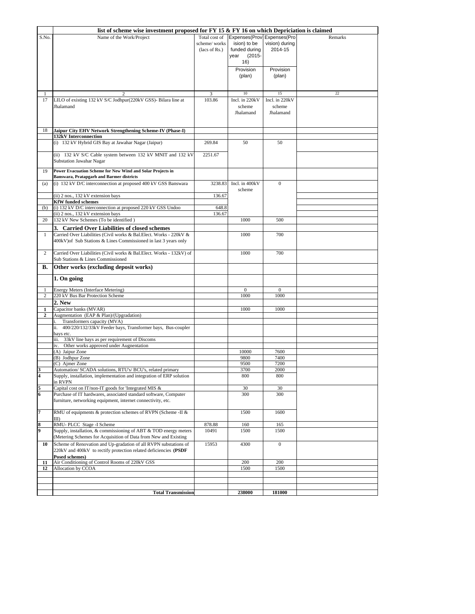|                | list of scheme wise investment proposed for FY 15 & FY 16 on which Depriciation is claimed          |               |                            |                     |         |  |
|----------------|-----------------------------------------------------------------------------------------------------|---------------|----------------------------|---------------------|---------|--|
| S.No.          | Name of the Work/Project                                                                            | Total cost of | Expenses(Prov Expenses(Pro |                     | Remarks |  |
|                |                                                                                                     | scheme/works  | ision) to be               | vision) during      |         |  |
|                |                                                                                                     | (lacs of Rs.) | funded during              | 2014-15             |         |  |
|                |                                                                                                     |               | $(2015 -$<br>year<br>16)   |                     |         |  |
|                |                                                                                                     |               |                            |                     |         |  |
|                |                                                                                                     |               | Provision<br>(plan)        | Provision<br>(plan) |         |  |
|                |                                                                                                     |               |                            |                     |         |  |
|                |                                                                                                     |               |                            |                     |         |  |
| 1              | 2                                                                                                   | 3             | 10                         | 15                  | $22\,$  |  |
| 17             | LILO of existing 132 kV S/C Jodhpur(220kV GSS)- Bilara line at                                      | 103.86        | Incl. in 220kV             | Incl. in 220kV      |         |  |
|                | Jhalamand                                                                                           |               | scheme                     | scheme              |         |  |
|                |                                                                                                     |               | Jhalamand                  | Jhalamand           |         |  |
|                |                                                                                                     |               |                            |                     |         |  |
| 18             | Jaipur City EHV Network Strengthening Scheme-IV (Phase-I)                                           |               |                            |                     |         |  |
|                | 132kV Interconnection                                                                               |               |                            |                     |         |  |
|                | (i) 132 kV Hybrid GIS Bay at Jawahar Nagar (Jaipur)                                                 | 269.84        | 50                         | 50                  |         |  |
|                |                                                                                                     |               |                            |                     |         |  |
|                | (ii) 132 kV S/C Cable system between 132 kV MNIT and 132 kV<br><b>Substation Jawahar Nagar</b>      | 2251.67       |                            |                     |         |  |
|                |                                                                                                     |               |                            |                     |         |  |
| 19             | Power Evacuation Scheme for New Wind and Solar Projects in                                          |               |                            |                     |         |  |
|                | <b>Banswara, Pratapgarh and Barmer districts</b>                                                    |               |                            |                     |         |  |
| (a)            | (i) 132 kV D/C interconnection at proposed 400 kV GSS Banswara                                      | 3238.83       | Incl. in 400kV             | $\mathbf{0}$        |         |  |
|                | (ii) 2 nos., 132 kV extension bays                                                                  | 136.67        | scheme                     |                     |         |  |
|                | <b>KfW</b> funded schemes                                                                           |               |                            |                     |         |  |
| (b)            | (i) 132 kV D/C interconnection at proposed 220 kV GSS Undoo                                         | 648.8         |                            |                     |         |  |
|                | (ii) 2 nos., 132 kV extension bays                                                                  | 136.67        |                            |                     |         |  |
| 20             | 132 kV New Schemes (To be identified)                                                               |               | 1000                       | 500                 |         |  |
|                | 3. Carried Over Liabilities of closed schemes                                                       |               |                            |                     |         |  |
| 1              | Carried Over Liabilities (Civil works & Bal.Elect. Works - 220kV &                                  |               | 1000                       | 700                 |         |  |
|                | 400kV) of Sub Stations & Lines Commissioned in last 3 years only                                    |               |                            |                     |         |  |
| 2              | Carried Over Liabilities (Civil works & Bal.Elect. Works - 132kV) of                                |               | 1000                       | 700                 |         |  |
|                | Sub Stations & Lines Commissioned                                                                   |               |                            |                     |         |  |
|                |                                                                                                     |               |                            |                     |         |  |
|                |                                                                                                     |               |                            |                     |         |  |
| В.             | Other works (excluding deposit works)                                                               |               |                            |                     |         |  |
|                | 1. On going                                                                                         |               |                            |                     |         |  |
|                |                                                                                                     |               |                            |                     |         |  |
|                | Energy Meters (Interface Metering)                                                                  |               | $\mathbf{0}$               | $\boldsymbol{0}$    |         |  |
| 2              | 220 kV Bus Bar Protection Scheme<br>2. New                                                          |               | 1000                       | 1000                |         |  |
| 1              | Capacitor banks (MVAR)                                                                              |               | 1000                       | 1000                |         |  |
| 2              | Augmentation (EAP & Plan)/(Upgradation)                                                             |               |                            |                     |         |  |
|                | Transformers capacity (MVA)                                                                         |               |                            |                     |         |  |
|                | ii. 400/220/132/33kV Feeder bays, Transformer bays, Bus-coupler                                     |               |                            |                     |         |  |
|                | bays etc.                                                                                           |               |                            |                     |         |  |
|                | iii. 33kV line bays as per requirement of Discoms<br>Other works approved under Augnentation<br>iv. |               |                            |                     |         |  |
|                | (A) Jaipur Zone                                                                                     |               | 10000                      | 7600                |         |  |
|                | (B) Jodhpur Zone                                                                                    |               | 9800                       | 7400                |         |  |
|                | (C) Ajmer Zone                                                                                      |               | 9500                       | 7200                |         |  |
|                | Automation/ SCADA solutions, RTU's/ BCU's, related primary                                          |               | 3700                       | 2000                |         |  |
| 4              | Supply, installation, implementation and integration of ERP solution                                |               | 800                        | 800                 |         |  |
| 5              | in RVPN<br>Capital cost on IT/non-IT goods for 'Integrated MIS &                                    |               | 30                         | 30                  |         |  |
| 6              | Purchase of IT hardwares, associated standard software, Computer                                    |               | 300                        | 300                 |         |  |
|                | furniture, networking equipment, internet connectivity, etc.                                        |               |                            |                     |         |  |
|                |                                                                                                     |               |                            |                     |         |  |
| $\overline{7}$ | RMU of equipments & protection schemes of RVPN (Scheme -II &                                        |               | 1500                       | 1600                |         |  |
| 8              | $III$ )<br>RMU- PLCC Stage -I Scheme                                                                | 878.88        | 160                        | 165                 |         |  |
| 9              | Supply, installation, & commissioning of ABT & TOD energy meters                                    | 10491         | 1500                       | 1500                |         |  |
|                | (Metering Schemes for Acquisition of Data from New and Existing                                     |               |                            |                     |         |  |
| 10             | Scheme of Renovation and Up-gradation of all RVPN substations of                                    | 15953         | 4300                       | $\boldsymbol{0}$    |         |  |
|                | 220kV and 400kV to rectify protection related deficiencies (PSDF                                    |               |                            |                     |         |  |
|                | Posed schemes)                                                                                      |               |                            |                     |         |  |
| 11             | Air Conditioning of Control Rooms of 220kV GSS                                                      |               | 200                        | 200                 |         |  |
| 12             | Allocation by CCOA                                                                                  |               | 1500                       | 1500                |         |  |
|                |                                                                                                     |               |                            |                     |         |  |
|                | <b>Total Transmission</b>                                                                           |               | 238000                     | 181000              |         |  |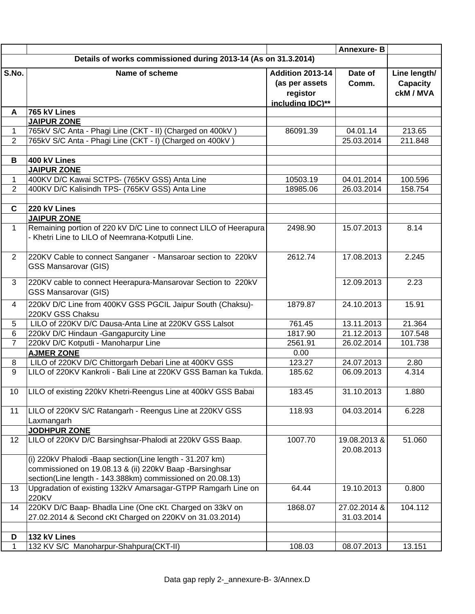|                   |                                                                                                |                   | <b>Annexure-B</b>        |                   |  |  |
|-------------------|------------------------------------------------------------------------------------------------|-------------------|--------------------------|-------------------|--|--|
|                   | Details of works commissioned during 2013-14 (As on 31.3.2014)                                 |                   |                          |                   |  |  |
| S.No.             | Name of scheme                                                                                 | Addition 2013-14  | Date of                  | Line length/      |  |  |
|                   |                                                                                                | (as per assets    | Comm.                    | Capacity          |  |  |
|                   |                                                                                                | registor          |                          | ckM / MVA         |  |  |
|                   |                                                                                                | including IDC)**  |                          |                   |  |  |
| A                 | 765 kV Lines                                                                                   |                   |                          |                   |  |  |
|                   | <b>JAIPUR ZONE</b>                                                                             |                   |                          |                   |  |  |
| $\mathbf{1}$      | 765kV S/C Anta - Phagi Line (CKT - II) (Charged on 400kV)                                      | 86091.39          | 04.01.14                 | 213.65            |  |  |
| 2                 | 765kV S/C Anta - Phagi Line (CKT - I) (Charged on 400kV)                                       |                   | 25.03.2014               | 211.848           |  |  |
|                   |                                                                                                |                   |                          |                   |  |  |
| B                 | 400 kV Lines<br><b>JAIPUR ZONE</b>                                                             |                   |                          |                   |  |  |
| 1                 | 400KV D/C Kawai SCTPS- (765KV GSS) Anta Line                                                   | 10503.19          | 04.01.2014               | 100.596           |  |  |
| $\overline{2}$    | 400KV D/C Kalisindh TPS- (765KV GSS) Anta Line                                                 | 18985.06          | 26.03.2014               | 158.754           |  |  |
|                   |                                                                                                |                   |                          |                   |  |  |
| $\mathbf c$       | 220 kV Lines                                                                                   |                   |                          |                   |  |  |
|                   | <b>JAIPUR ZONE</b>                                                                             |                   |                          |                   |  |  |
| $\mathbf{1}$      | Remaining portion of 220 kV D/C Line to connect LILO of Heerapura                              | 2498.90           | 15.07.2013               | 8.14              |  |  |
|                   | - Khetri Line to LILO of Neemrana-Kotputli Line.                                               |                   |                          |                   |  |  |
|                   |                                                                                                |                   |                          |                   |  |  |
| 2                 | 220KV Cable to connect Sanganer - Mansaroar section to 220kV                                   | 2612.74           | 17.08.2013               | 2.245             |  |  |
|                   | <b>GSS Mansarovar (GIS)</b>                                                                    |                   |                          |                   |  |  |
| 3                 | 220KV cable to connect Heerapura-Mansarovar Section to 220kV                                   |                   | 12.09.2013               | 2.23              |  |  |
|                   | <b>GSS Mansarovar (GIS)</b>                                                                    |                   |                          |                   |  |  |
|                   |                                                                                                |                   |                          |                   |  |  |
| $\overline{4}$    | 220kV D/C Line from 400KV GSS PGCIL Jaipur South (Chaksu)-                                     | 1879.87           | 24.10.2013               | 15.91             |  |  |
|                   | 220KV GSS Chaksu                                                                               |                   |                          |                   |  |  |
| 5<br>6            | LILO of 220KV D/C Dausa-Anta Line at 220KV GSS Lalsot<br>220kV D/C Hindaun - Gangapurcity Line | 761.45<br>1817.90 | 13.11.2013<br>21.12.2013 | 21.364<br>107.548 |  |  |
| $\overline{7}$    | 220kV D/C Kotputli - Manoharpur Line                                                           | 2561.91           | 26.02.2014               | 101.738           |  |  |
|                   | <b>AJMER ZONE</b>                                                                              | 0.00              |                          |                   |  |  |
| 8                 | LILO of 220KV D/C Chittorgarh Debari Line at 400KV GSS                                         | 123.27            | 24.07.2013               | 2.80              |  |  |
| 9                 | LILO of 220KV Kankroli - Bali Line at 220KV GSS Baman ka Tukda.                                | 185.62            | 06.09.2013               | 4.314             |  |  |
|                   |                                                                                                |                   |                          |                   |  |  |
|                   | 10   LILO of existing 220kV Khetri-Reengus Line at 400kV GSS Babai                             | 183.45            | 31.10.2013               | 1.880             |  |  |
|                   |                                                                                                |                   |                          |                   |  |  |
| 11                | LILO of 220KV S/C Ratangarh - Reengus Line at 220KV GSS                                        | 118.93            | 04.03.2014               | 6.228             |  |  |
|                   | Laxmangarh                                                                                     |                   |                          |                   |  |  |
|                   | <b>JODHPUR ZONE</b>                                                                            |                   |                          |                   |  |  |
| $12 \overline{ }$ | LILO of 220KV D/C Barsinghsar-Phalodi at 220kV GSS Baap.                                       | 1007.70           | 19.08.2013 &             | 51.060            |  |  |
|                   |                                                                                                |                   | 20.08.2013               |                   |  |  |
|                   | (i) 220kV Phalodi -Baap section(Line length - 31.207 km)                                       |                   |                          |                   |  |  |
|                   | commissioned on 19.08.13 & (ii) 220kV Baap -Barsinghsar                                        |                   |                          |                   |  |  |
|                   | section(Line length - 143.388km) commissioned on 20.08.13)                                     |                   |                          |                   |  |  |
| 13                | Upgradation of existing 132kV Amarsagar-GTPP Ramgarh Line on<br>220KV                          | 64.44             | 19.10.2013               | 0.800             |  |  |
| 14                | 220KV D/C Baap- Bhadla Line (One cKt. Charged on 33kV on                                       | 1868.07           | 27.02.2014 &             | 104.112           |  |  |
|                   | 27.02.2014 & Second cKt Charged on 220KV on 31.03.2014)                                        |                   | 31.03.2014               |                   |  |  |
|                   |                                                                                                |                   |                          |                   |  |  |
| D                 | 132 kV Lines                                                                                   |                   |                          |                   |  |  |
| 1                 | 132 KV S/C Manoharpur-Shahpura(CKT-II)                                                         | 108.03            | 08.07.2013               | 13.151            |  |  |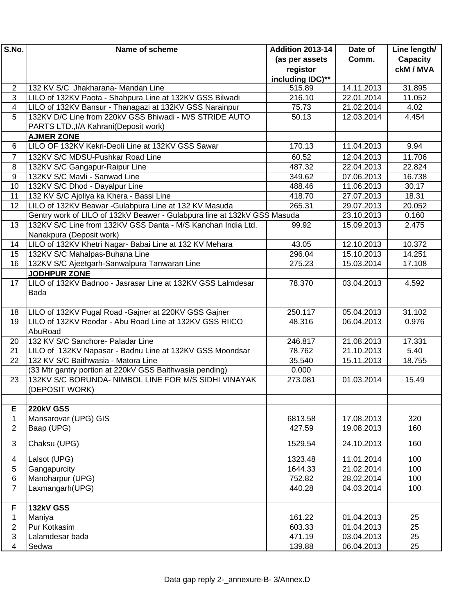| S.No.                   | Name of scheme                                                                                                  | <b>Addition 2013-14</b> | Date of    | Line length/    |
|-------------------------|-----------------------------------------------------------------------------------------------------------------|-------------------------|------------|-----------------|
|                         |                                                                                                                 | (as per assets          | Comm.      | <b>Capacity</b> |
|                         |                                                                                                                 | registor                |            | ckM / MVA       |
|                         |                                                                                                                 | including IDC)**        |            |                 |
| 2                       | 132 KV S/C Jhakharana- Mandan Line                                                                              | 515.89                  | 14.11.2013 | 31.895          |
| 3                       | LILO of 132KV Paota - Shahpura Line at 132KV GSS Bilwadi                                                        | 216.10                  | 22.01.2014 | 11.052          |
| 4                       | LILO of 132KV Bansur - Thanagazi at 132KV GSS Narainpur                                                         | 75.73                   | 21.02.2014 | 4.02            |
| 5                       | 132KV D/C Line from 220kV GSS Bhiwadi - M/S STRIDE AUTO                                                         | 50.13                   | 12.03.2014 | 4.454           |
|                         | PARTS LTD., I/A Kahrani (Deposit work)                                                                          |                         |            |                 |
|                         | <b>AJMER ZONE</b>                                                                                               |                         |            |                 |
| 6                       | LILO OF 132KV Kekri-Deoli Line at 132KV GSS Sawar                                                               | 170.13                  | 11.04.2013 | 9.94            |
| $\overline{7}$          | 132KV S/C MDSU-Pushkar Road Line                                                                                | 60.52                   | 12.04.2013 | 11.706          |
| 8                       | 132KV S/C Gangapur-Raipur Line                                                                                  | 487.32                  | 22.04.2013 | 22.824          |
| 9                       | 132KV S/C Mavli - Sanwad Line                                                                                   | 349.62                  | 07.06.2013 | 16.738          |
| 10                      | 132KV S/C Dhod - Dayalpur Line                                                                                  | 488.46                  | 11.06.2013 | 30.17           |
| 11                      | 132 KV S/C Ajoliya ka Khera - Bassi Line                                                                        | 418.70                  | 27.07.2013 | 18.31           |
| 12                      | LILO of 132KV Beawar - Gulabpura Line at 132 KV Masuda                                                          | 265.31                  | 29.07.2013 | 20.052          |
|                         | Gentry work of LILO of 132kV Beawer - Gulabpura line at 132kV GSS Masuda                                        |                         | 23.10.2013 | 0.160           |
| 13                      | 132KV S/C Line from 132KV GSS Danta - M/S Kanchan India Ltd.                                                    | 99.92                   | 15.09.2013 | 2.475           |
|                         | Nanakpura (Deposit work)                                                                                        |                         |            |                 |
| 14                      | LILO of 132KV Khetri Nagar- Babai Line at 132 KV Mehara                                                         | 43.05                   | 12.10.2013 | 10.372          |
| 15                      | 132KV S/C Mahalpas-Buhana Line                                                                                  | 296.04                  | 15.10.2013 | 14.251          |
| 16                      | 132KV S/C Ajeetgarh-Sanwalpura Tanwaran Line                                                                    | 275.23                  | 15.03.2014 | 17.108          |
|                         | <b>JODHPUR ZONE</b>                                                                                             |                         |            |                 |
| 17                      | LILO of 132KV Badnoo - Jasrasar Line at 132KV GSS Lalmdesar                                                     | 78.370                  | 03.04.2013 | 4.592           |
|                         | Bada                                                                                                            |                         |            |                 |
|                         |                                                                                                                 |                         |            |                 |
| 18                      | LILO of 132KV Pugal Road - Gajner at 220KV GSS Gajner                                                           | 250.117                 | 05.04.2013 | 31.102          |
| 19                      | LILO of 132KV Reodar - Abu Road Line at 132KV GSS RIICO                                                         | 48.316                  | 06.04.2013 | 0.976           |
|                         | AbuRoad                                                                                                         |                         |            |                 |
| 20                      | 132 KV S/C Sanchore- Paladar Line                                                                               | 246.817                 | 21.08.2013 | 17.331          |
| 21<br>22                | LILO of 132KV Napasar - Badnu Line at 132KV GSS Moondsar<br>132 KV S/C Baithwasia - Matora Line                 | 78.762                  | 21.10.2013 | 5.40            |
|                         |                                                                                                                 | 35.540<br>0.000         | 15.11.2013 | 18.755          |
| 23                      | (33 Mtr gantry portion at 220kV GSS Baithwasia pending)<br>132KV S/C BORUNDA- NIMBOL LINE FOR M/S SIDHI VINAYAK | 273.081                 | 01.03.2014 | 15.49           |
|                         | (DEPOSIT WORK)                                                                                                  |                         |            |                 |
|                         |                                                                                                                 |                         |            |                 |
| E                       | <b>220kV GSS</b>                                                                                                |                         |            |                 |
| $\mathbf{1}$            | Mansarovar (UPG) GIS                                                                                            | 6813.58                 | 17.08.2013 | 320             |
| $\overline{2}$          | Baap (UPG)                                                                                                      | 427.59                  | 19.08.2013 | 160             |
|                         |                                                                                                                 |                         |            |                 |
| $\sqrt{3}$              | Chaksu (UPG)                                                                                                    | 1529.54                 | 24.10.2013 | 160             |
| $\overline{\mathbf{4}}$ | Lalsot (UPG)                                                                                                    | 1323.48                 | 11.01.2014 | 100             |
| $\sqrt{5}$              | Gangapurcity                                                                                                    | 1644.33                 | 21.02.2014 | 100             |
| 6                       | Manoharpur (UPG)                                                                                                | 752.82                  | 28.02.2014 | 100             |
| $\overline{7}$          | Laxmangarh(UPG)                                                                                                 | 440.28                  | 04.03.2014 | 100             |
|                         |                                                                                                                 |                         |            |                 |
| F                       | <b>132kV GSS</b>                                                                                                |                         |            |                 |
| 1                       | Maniya                                                                                                          | 161.22                  | 01.04.2013 | 25              |
| $\overline{2}$          | Pur Kotkasim                                                                                                    | 603.33                  | 01.04.2013 | 25              |
| 3                       | Lalamdesar bada                                                                                                 | 471.19                  | 03.04.2013 | 25              |
| $\overline{4}$          | Sedwa                                                                                                           | 139.88                  | 06.04.2013 | 25              |